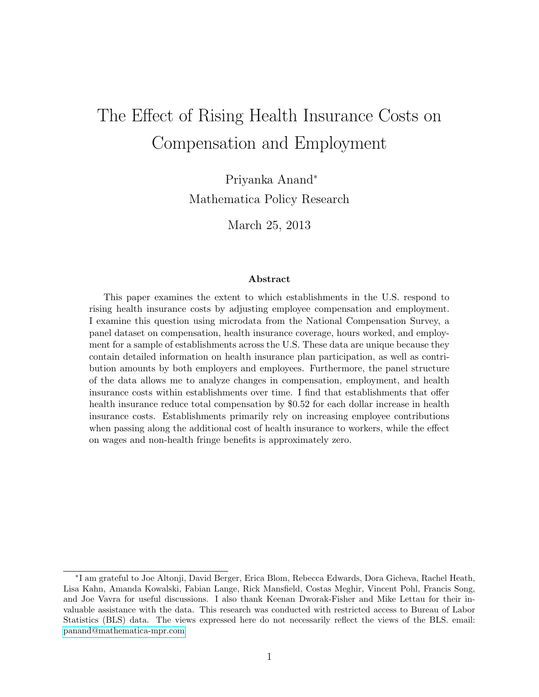# The Effect of Rising Health Insurance Costs on Compensation and Employment

Priyanka Anand<sup>∗</sup> Mathematica Policy Research

March 25, 2013

#### Abstract

This paper examines the extent to which establishments in the U.S. respond to rising health insurance costs by adjusting employee compensation and employment. I examine this question using microdata from the National Compensation Survey, a panel dataset on compensation, health insurance coverage, hours worked, and employment for a sample of establishments across the U.S. These data are unique because they contain detailed information on health insurance plan participation, as well as contribution amounts by both employers and employees. Furthermore, the panel structure of the data allows me to analyze changes in compensation, employment, and health insurance costs within establishments over time. I find that establishments that offer health insurance reduce total compensation by \$0.52 for each dollar increase in health insurance costs. Establishments primarily rely on increasing employee contributions when passing along the additional cost of health insurance to workers, while the effect on wages and non-health fringe benefits is approximately zero.

<sup>∗</sup> I am grateful to Joe Altonji, David Berger, Erica Blom, Rebecca Edwards, Dora Gicheva, Rachel Heath, Lisa Kahn, Amanda Kowalski, Fabian Lange, Rick Mansfield, Costas Meghir, Vincent Pohl, Francis Song, and Joe Vavra for useful discussions. I also thank Keenan Dworak-Fisher and Mike Lettau for their invaluable assistance with the data. This research was conducted with restricted access to Bureau of Labor Statistics (BLS) data. The views expressed here do not necessarily reflect the views of the BLS. email: [panand@mathematica-mpr.com](mailto:panand@mathematica-mpr.com)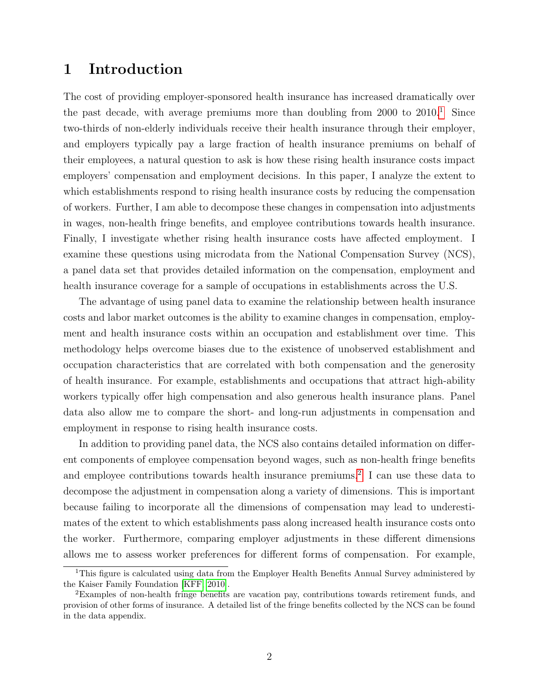### 1 Introduction

The cost of providing employer-sponsored health insurance has increased dramatically over the past decade, with average premiums more than doubling from  $2000$  to  $2010<sup>1</sup>$  $2010<sup>1</sup>$  $2010<sup>1</sup>$ . Since two-thirds of non-elderly individuals receive their health insurance through their employer, and employers typically pay a large fraction of health insurance premiums on behalf of their employees, a natural question to ask is how these rising health insurance costs impact employers' compensation and employment decisions. In this paper, I analyze the extent to which establishments respond to rising health insurance costs by reducing the compensation of workers. Further, I am able to decompose these changes in compensation into adjustments in wages, non-health fringe benefits, and employee contributions towards health insurance. Finally, I investigate whether rising health insurance costs have affected employment. I examine these questions using microdata from the National Compensation Survey (NCS), a panel data set that provides detailed information on the compensation, employment and health insurance coverage for a sample of occupations in establishments across the U.S.

The advantage of using panel data to examine the relationship between health insurance costs and labor market outcomes is the ability to examine changes in compensation, employment and health insurance costs within an occupation and establishment over time. This methodology helps overcome biases due to the existence of unobserved establishment and occupation characteristics that are correlated with both compensation and the generosity of health insurance. For example, establishments and occupations that attract high-ability workers typically offer high compensation and also generous health insurance plans. Panel data also allow me to compare the short- and long-run adjustments in compensation and employment in response to rising health insurance costs.

In addition to providing panel data, the NCS also contains detailed information on different components of employee compensation beyond wages, such as non-health fringe benefits and employee contributions towards health insurance premiums.<sup>[2](#page-1-1)</sup> I can use these data to decompose the adjustment in compensation along a variety of dimensions. This is important because failing to incorporate all the dimensions of compensation may lead to underestimates of the extent to which establishments pass along increased health insurance costs onto the worker. Furthermore, comparing employer adjustments in these different dimensions allows me to assess worker preferences for different forms of compensation. For example,

<span id="page-1-0"></span><sup>&</sup>lt;sup>1</sup>This figure is calculated using data from the Employer Health Benefits Annual Survey administered by the Kaiser Family Foundation [\[KFF, 2010\]](#page-27-0).

<span id="page-1-1"></span><sup>&</sup>lt;sup>2</sup>Examples of non-health fringe benefits are vacation pay, contributions towards retirement funds, and provision of other forms of insurance. A detailed list of the fringe benefits collected by the NCS can be found in the data appendix.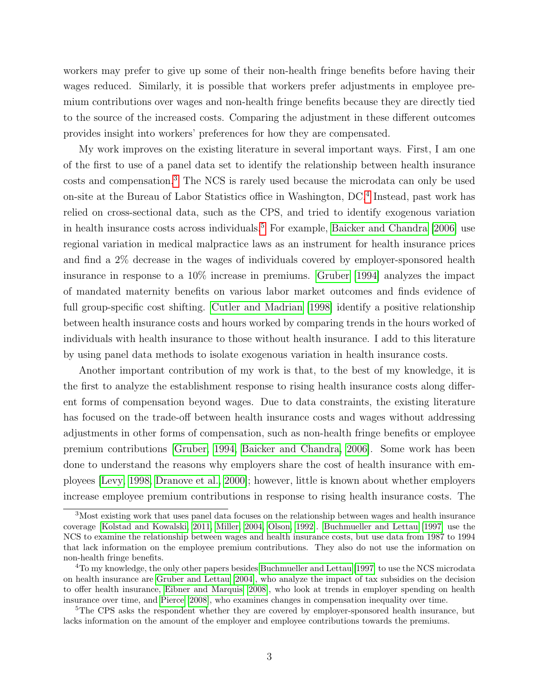workers may prefer to give up some of their non-health fringe benefits before having their wages reduced. Similarly, it is possible that workers prefer adjustments in employee premium contributions over wages and non-health fringe benefits because they are directly tied to the source of the increased costs. Comparing the adjustment in these different outcomes provides insight into workers' preferences for how they are compensated.

My work improves on the existing literature in several important ways. First, I am one of the first to use of a panel data set to identify the relationship between health insurance costs and compensation.[3](#page-2-0) The NCS is rarely used because the microdata can only be used on-site at the Bureau of Labor Statistics office in Washington, DC.[4](#page-2-1) Instead, past work has relied on cross-sectional data, such as the CPS, and tried to identify exogenous variation in health insurance costs across individuals.<sup>[5](#page-2-2)</sup> For example, [Baicker and Chandra](#page-27-1)  $[2006]$  use regional variation in medical malpractice laws as an instrument for health insurance prices and find a 2% decrease in the wages of individuals covered by employer-sponsored health insurance in response to a 10% increase in premiums. [Gruber](#page-28-0) [\[1994\]](#page-28-0) analyzes the impact of mandated maternity benefits on various labor market outcomes and finds evidence of full group-specific cost shifting. [Cutler and Madrian](#page-28-1) [\[1998\]](#page-28-1) identify a positive relationship between health insurance costs and hours worked by comparing trends in the hours worked of individuals with health insurance to those without health insurance. I add to this literature by using panel data methods to isolate exogenous variation in health insurance costs.

Another important contribution of my work is that, to the best of my knowledge, it is the first to analyze the establishment response to rising health insurance costs along different forms of compensation beyond wages. Due to data constraints, the existing literature has focused on the trade-off between health insurance costs and wages without addressing adjustments in other forms of compensation, such as non-health fringe benefits or employee premium contributions [\[Gruber, 1994,](#page-28-0) [Baicker and Chandra, 2006\]](#page-27-1). Some work has been done to understand the reasons why employers share the cost of health insurance with employees [\[Levy, 1998,](#page-29-0) [Dranove et al., 2000\]](#page-28-2); however, little is known about whether employers increase employee premium contributions in response to rising health insurance costs. The

<span id="page-2-0"></span><sup>3</sup>Most existing work that uses panel data focuses on the relationship between wages and health insurance coverage [\[Kolstad and Kowalski, 2011,](#page-29-1) [Miller, 2004,](#page-29-2) [Olson, 1992\]](#page-29-3). [Buchmueller and Lettau](#page-28-3) [\[1997\]](#page-28-3) use the NCS to examine the relationship between wages and health insurance costs, but use data from 1987 to 1994 that lack information on the employee premium contributions. They also do not use the information on non-health fringe benefits.

<span id="page-2-1"></span><sup>4</sup>To my knowledge, the only other papers besides [Buchmueller and Lettau](#page-28-3) [\[1997\]](#page-28-3) to use the NCS microdata on health insurance are [Gruber and Lettau](#page-28-4) [\[2004\]](#page-28-4), who analyze the impact of tax subsidies on the decision to offer health insurance, [Eibner and Marquis](#page-28-5) [\[2008\]](#page-28-5), who look at trends in employer spending on health insurance over time, and [Pierce](#page-29-4) [\[2008\]](#page-29-4), who examines changes in compensation inequality over time.

<span id="page-2-2"></span><sup>&</sup>lt;sup>5</sup>The CPS asks the respondent whether they are covered by employer-sponsored health insurance, but lacks information on the amount of the employer and employee contributions towards the premiums.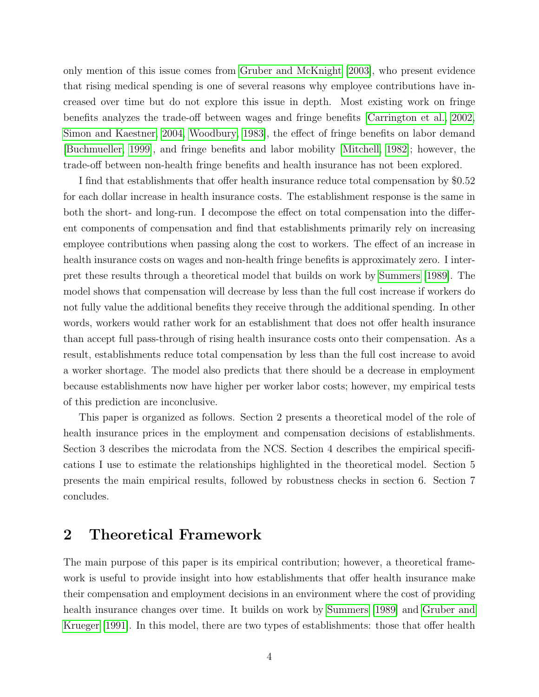only mention of this issue comes from [Gruber and McKnight](#page-28-6) [\[2003\]](#page-28-6), who present evidence that rising medical spending is one of several reasons why employee contributions have increased over time but do not explore this issue in depth. Most existing work on fringe benefits analyzes the trade-off between wages and fringe benefits [\[Carrington et al., 2002,](#page-28-7) [Simon and Kaestner, 2004,](#page-29-5) [Woodbury, 1983\]](#page-29-6), the effect of fringe benefits on labor demand [\[Buchmueller, 1999\]](#page-28-8), and fringe benefits and labor mobility [\[Mitchell, 1982\]](#page-29-7); however, the trade-off between non-health fringe benefits and health insurance has not been explored.

I find that establishments that offer health insurance reduce total compensation by \$0.52 for each dollar increase in health insurance costs. The establishment response is the same in both the short- and long-run. I decompose the effect on total compensation into the different components of compensation and find that establishments primarily rely on increasing employee contributions when passing along the cost to workers. The effect of an increase in health insurance costs on wages and non-health fringe benefits is approximately zero. I interpret these results through a theoretical model that builds on work by [Summers](#page-29-8) [\[1989\]](#page-29-8). The model shows that compensation will decrease by less than the full cost increase if workers do not fully value the additional benefits they receive through the additional spending. In other words, workers would rather work for an establishment that does not offer health insurance than accept full pass-through of rising health insurance costs onto their compensation. As a result, establishments reduce total compensation by less than the full cost increase to avoid a worker shortage. The model also predicts that there should be a decrease in employment because establishments now have higher per worker labor costs; however, my empirical tests of this prediction are inconclusive.

This paper is organized as follows. Section 2 presents a theoretical model of the role of health insurance prices in the employment and compensation decisions of establishments. Section 3 describes the microdata from the NCS. Section 4 describes the empirical specifications I use to estimate the relationships highlighted in the theoretical model. Section 5 presents the main empirical results, followed by robustness checks in section 6. Section 7 concludes.

### 2 Theoretical Framework

The main purpose of this paper is its empirical contribution; however, a theoretical framework is useful to provide insight into how establishments that offer health insurance make their compensation and employment decisions in an environment where the cost of providing health insurance changes over time. It builds on work by [Summers](#page-29-8) [\[1989\]](#page-29-8) and [Gruber and](#page-28-9) [Krueger](#page-28-9) [\[1991\]](#page-28-9). In this model, there are two types of establishments: those that offer health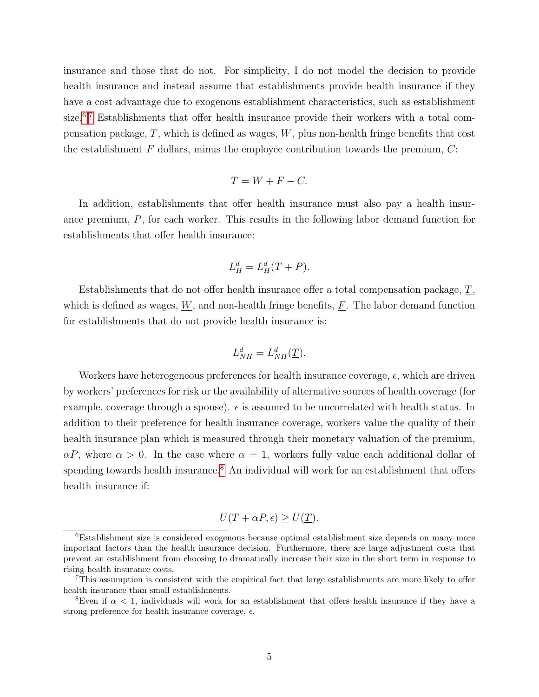insurance and those that do not. For simplicity, I do not model the decision to provide health insurance and instead assume that establishments provide health insurance if they have a cost advantage due to exogenous establishment characteristics, such as establishment size.<sup>[6](#page-4-0),[7](#page-4-1)</sup> Establishments that offer health insurance provide their workers with a total compensation package,  $T$ , which is defined as wages,  $W$ , plus non-health fringe benefits that cost the establishment  $F$  dollars, minus the employee contribution towards the premium,  $C$ :

$$
T = W + F - C.
$$

In addition, establishments that offer health insurance must also pay a health insurance premium, P, for each worker. This results in the following labor demand function for establishments that offer health insurance:

$$
L_H^d = L_H^d(T + P).
$$

Establishments that do not offer health insurance offer a total compensation package, T, which is defined as wages,  $W$ , and non-health fringe benefits,  $F$ . The labor demand function for establishments that do not provide health insurance is:

$$
L_{NH}^d = L_{NH}^d(\underline{T}).
$$

Workers have heterogeneous preferences for health insurance coverage,  $\epsilon$ , which are driven by workers' preferences for risk or the availability of alternative sources of health coverage (for example, coverage through a spouse).  $\epsilon$  is assumed to be uncorrelated with health status. In addition to their preference for health insurance coverage, workers value the quality of their health insurance plan which is measured through their monetary valuation of the premium,  $\alpha P$ , where  $\alpha > 0$ . In the case where  $\alpha = 1$ , workers fully value each additional dollar of spending towards health insurance.<sup>[8](#page-4-2)</sup> An individual will work for an establishment that offers health insurance if:

$$
U(T + \alpha P, \epsilon) \ge U(\underline{T}).
$$

<span id="page-4-0"></span><sup>6</sup>Establishment size is considered exogenous because optimal establishment size depends on many more important factors than the health insurance decision. Furthermore, there are large adjustment costs that prevent an establishment from choosing to dramatically increase their size in the short term in response to rising health insurance costs.

<span id="page-4-1"></span><sup>7</sup>This assumption is consistent with the empirical fact that large establishments are more likely to offer health insurance than small establishments.

<span id="page-4-2"></span><sup>&</sup>lt;sup>8</sup>Even if  $\alpha$  < 1, individuals will work for an establishment that offers health insurance if they have a strong preference for health insurance coverage,  $\epsilon$ .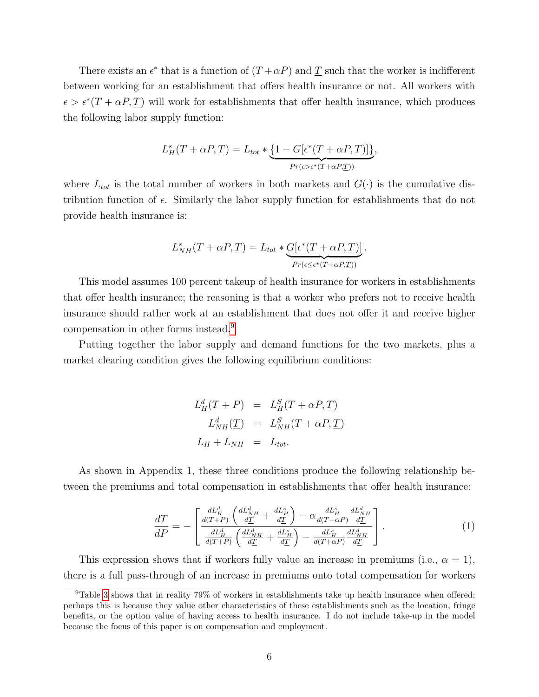There exists an  $\epsilon^*$  that is a function of  $(T + \alpha P)$  and  $\underline{T}$  such that the worker is indifferent between working for an establishment that offers health insurance or not. All workers with  $\epsilon > \epsilon^*(T + \alpha P, \underline{T})$  will work for establishments that offer health insurance, which produces the following labor supply function:

$$
L_H^s(T + \alpha P, \underline{T}) = L_{tot} * \underbrace{\{1 - G[\epsilon^*(T + \alpha P, \underline{T})]\}}_{Pr(\epsilon > \epsilon^*(T + \alpha P, \underline{T}))},
$$

where  $L_{tot}$  is the total number of workers in both markets and  $G(\cdot)$  is the cumulative distribution function of  $\epsilon$ . Similarly the labor supply function for establishments that do not provide health insurance is:

$$
L_{NH}^s(T+\alpha P, \underline{T}) = L_{tot} * \underbrace{G[\epsilon^*(T+\alpha P, \underline{T})]}_{Pr(\epsilon \le \epsilon^*(T+\alpha P, \underline{T}))}.
$$

This model assumes 100 percent takeup of health insurance for workers in establishments that offer health insurance; the reasoning is that a worker who prefers not to receive health insurance should rather work at an establishment that does not offer it and receive higher compensation in other forms instead.[9](#page-5-0)

Putting together the labor supply and demand functions for the two markets, plus a market clearing condition gives the following equilibrium conditions:

$$
L_H^d(T + P) = L_H^S(T + \alpha P, \underline{T})
$$
  
\n
$$
L_{NH}^d(\underline{T}) = L_{NH}^S(T + \alpha P, \underline{T})
$$
  
\n
$$
L_H + L_{NH} = L_{tot}.
$$

As shown in Appendix 1, these three conditions produce the following relationship between the premiums and total compensation in establishments that offer health insurance:

$$
\frac{dT}{dP} = -\left[\frac{\frac{dL_H^d}{d(T+P)}\left(\frac{dL_{NH}^d}{d\underline{T}} + \frac{dL_H^s}{d\underline{T}}\right) - \alpha \frac{dL_H^s}{d(T+\alpha P)}\frac{dL_{NH}^d}{d\underline{T}}}{\frac{dL_H^d}{d(T+P)}\left(\frac{dL_{NH}^d}{d\underline{T}} + \frac{dL_H^s}{d\underline{T}}\right) - \frac{dL_H^s}{d(T+\alpha P)}\frac{dL_{NH}^d}{d\underline{T}}}\right].\tag{1}
$$

This expression shows that if workers fully value an increase in premiums (i.e.,  $\alpha = 1$ ), there is a full pass-through of an increase in premiums onto total compensation for workers

<span id="page-5-0"></span><sup>&</sup>lt;sup>9</sup>Table [3](#page-39-0) shows that in reality 79% of workers in establishments take up health insurance when offered; perhaps this is because they value other characteristics of these establishments such as the location, fringe benefits, or the option value of having access to health insurance. I do not include take-up in the model because the focus of this paper is on compensation and employment.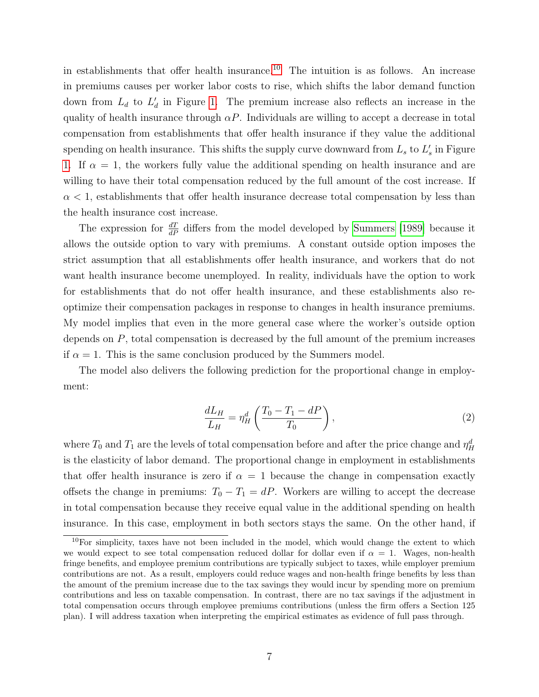in establishments that offer health insurance.<sup>[10](#page-6-0)</sup> The intuition is as follows. An increase in premiums causes per worker labor costs to rise, which shifts the labor demand function down from  $L_d$  to  $L'_d$  in Figure [1.](#page-34-0) The premium increase also reflects an increase in the quality of health insurance through  $\alpha P$ . Individuals are willing to accept a decrease in total compensation from establishments that offer health insurance if they value the additional spending on health insurance. This shifts the supply curve downward from  $L_s$  to  $L'_s$  in Figure [1.](#page-34-0) If  $\alpha = 1$ , the workers fully value the additional spending on health insurance and are willing to have their total compensation reduced by the full amount of the cost increase. If  $\alpha$  < 1, establishments that offer health insurance decrease total compensation by less than the health insurance cost increase.

The expression for  $\frac{dT}{dP}$  differs from the model developed by [Summers](#page-29-8) [\[1989\]](#page-29-8) because it allows the outside option to vary with premiums. A constant outside option imposes the strict assumption that all establishments offer health insurance, and workers that do not want health insurance become unemployed. In reality, individuals have the option to work for establishments that do not offer health insurance, and these establishments also reoptimize their compensation packages in response to changes in health insurance premiums. My model implies that even in the more general case where the worker's outside option depends on  $P$ , total compensation is decreased by the full amount of the premium increases if  $\alpha = 1$ . This is the same conclusion produced by the Summers model.

The model also delivers the following prediction for the proportional change in employment:

$$
\frac{dL_H}{L_H} = \eta_H^d \left( \frac{T_0 - T_1 - dP}{T_0} \right),\tag{2}
$$

where  $T_0$  and  $T_1$  are the levels of total compensation before and after the price change and  $\eta_H^d$ is the elasticity of labor demand. The proportional change in employment in establishments that offer health insurance is zero if  $\alpha = 1$  because the change in compensation exactly offsets the change in premiums:  $T_0 - T_1 = dP$ . Workers are willing to accept the decrease in total compensation because they receive equal value in the additional spending on health insurance. In this case, employment in both sectors stays the same. On the other hand, if

<span id="page-6-0"></span> $10$ For simplicity, taxes have not been included in the model, which would change the extent to which we would expect to see total compensation reduced dollar for dollar even if  $\alpha = 1$ . Wages, non-health fringe benefits, and employee premium contributions are typically subject to taxes, while employer premium contributions are not. As a result, employers could reduce wages and non-health fringe benefits by less than the amount of the premium increase due to the tax savings they would incur by spending more on premium contributions and less on taxable compensation. In contrast, there are no tax savings if the adjustment in total compensation occurs through employee premiums contributions (unless the firm offers a Section 125 plan). I will address taxation when interpreting the empirical estimates as evidence of full pass through.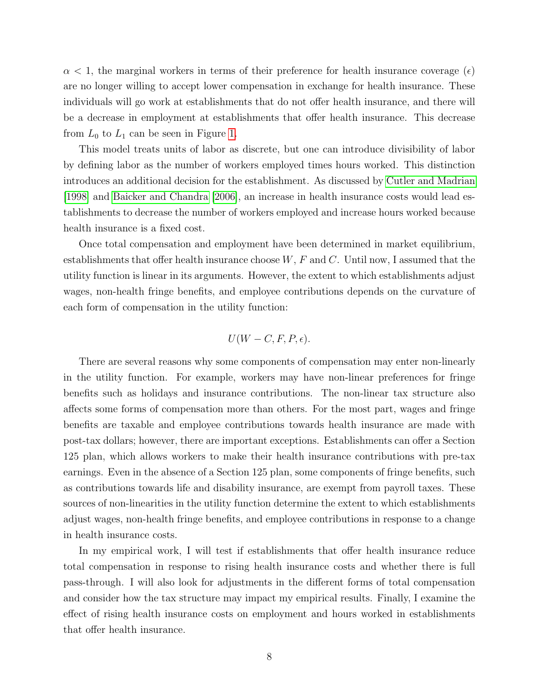$\alpha$  < 1, the marginal workers in terms of their preference for health insurance coverage ( $\epsilon$ ) are no longer willing to accept lower compensation in exchange for health insurance. These individuals will go work at establishments that do not offer health insurance, and there will be a decrease in employment at establishments that offer health insurance. This decrease from  $L_0$  to  $L_1$  can be seen in Figure [1.](#page-34-0)

This model treats units of labor as discrete, but one can introduce divisibility of labor by defining labor as the number of workers employed times hours worked. This distinction introduces an additional decision for the establishment. As discussed by [Cutler and Madrian](#page-28-1) [\[1998\]](#page-28-1) and [Baicker and Chandra](#page-27-1) [\[2006\]](#page-27-1), an increase in health insurance costs would lead establishments to decrease the number of workers employed and increase hours worked because health insurance is a fixed cost.

Once total compensation and employment have been determined in market equilibrium, establishments that offer health insurance choose  $W, F$  and  $C$ . Until now, I assumed that the utility function is linear in its arguments. However, the extent to which establishments adjust wages, non-health fringe benefits, and employee contributions depends on the curvature of each form of compensation in the utility function:

$$
U(W - C, F, P, \epsilon).
$$

There are several reasons why some components of compensation may enter non-linearly in the utility function. For example, workers may have non-linear preferences for fringe benefits such as holidays and insurance contributions. The non-linear tax structure also affects some forms of compensation more than others. For the most part, wages and fringe benefits are taxable and employee contributions towards health insurance are made with post-tax dollars; however, there are important exceptions. Establishments can offer a Section 125 plan, which allows workers to make their health insurance contributions with pre-tax earnings. Even in the absence of a Section 125 plan, some components of fringe benefits, such as contributions towards life and disability insurance, are exempt from payroll taxes. These sources of non-linearities in the utility function determine the extent to which establishments adjust wages, non-health fringe benefits, and employee contributions in response to a change in health insurance costs.

In my empirical work, I will test if establishments that offer health insurance reduce total compensation in response to rising health insurance costs and whether there is full pass-through. I will also look for adjustments in the different forms of total compensation and consider how the tax structure may impact my empirical results. Finally, I examine the effect of rising health insurance costs on employment and hours worked in establishments that offer health insurance.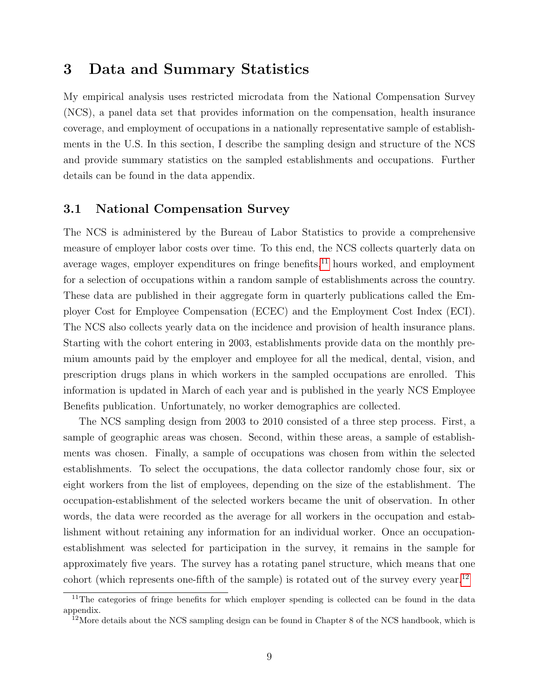### 3 Data and Summary Statistics

My empirical analysis uses restricted microdata from the National Compensation Survey (NCS), a panel data set that provides information on the compensation, health insurance coverage, and employment of occupations in a nationally representative sample of establishments in the U.S. In this section, I describe the sampling design and structure of the NCS and provide summary statistics on the sampled establishments and occupations. Further details can be found in the data appendix.

#### 3.1 National Compensation Survey

The NCS is administered by the Bureau of Labor Statistics to provide a comprehensive measure of employer labor costs over time. To this end, the NCS collects quarterly data on average wages, employer expenditures on fringe benefits, $^{11}$  $^{11}$  $^{11}$  hours worked, and employment for a selection of occupations within a random sample of establishments across the country. These data are published in their aggregate form in quarterly publications called the Employer Cost for Employee Compensation (ECEC) and the Employment Cost Index (ECI). The NCS also collects yearly data on the incidence and provision of health insurance plans. Starting with the cohort entering in 2003, establishments provide data on the monthly premium amounts paid by the employer and employee for all the medical, dental, vision, and prescription drugs plans in which workers in the sampled occupations are enrolled. This information is updated in March of each year and is published in the yearly NCS Employee Benefits publication. Unfortunately, no worker demographics are collected.

The NCS sampling design from 2003 to 2010 consisted of a three step process. First, a sample of geographic areas was chosen. Second, within these areas, a sample of establishments was chosen. Finally, a sample of occupations was chosen from within the selected establishments. To select the occupations, the data collector randomly chose four, six or eight workers from the list of employees, depending on the size of the establishment. The occupation-establishment of the selected workers became the unit of observation. In other words, the data were recorded as the average for all workers in the occupation and establishment without retaining any information for an individual worker. Once an occupationestablishment was selected for participation in the survey, it remains in the sample for approximately five years. The survey has a rotating panel structure, which means that one cohort (which represents one-fifth of the sample) is rotated out of the survey every year.[12](#page-8-1)

<span id="page-8-0"></span><sup>&</sup>lt;sup>11</sup>The categories of fringe benefits for which employer spending is collected can be found in the data appendix.

<span id="page-8-1"></span> $12$ More details about the NCS sampling design can be found in Chapter 8 of the NCS handbook, which is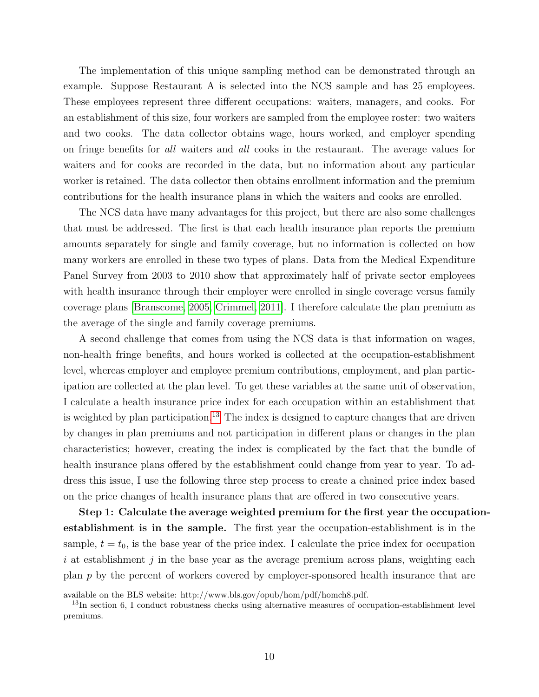The implementation of this unique sampling method can be demonstrated through an example. Suppose Restaurant A is selected into the NCS sample and has 25 employees. These employees represent three different occupations: waiters, managers, and cooks. For an establishment of this size, four workers are sampled from the employee roster: two waiters and two cooks. The data collector obtains wage, hours worked, and employer spending on fringe benefits for all waiters and all cooks in the restaurant. The average values for waiters and for cooks are recorded in the data, but no information about any particular worker is retained. The data collector then obtains enrollment information and the premium contributions for the health insurance plans in which the waiters and cooks are enrolled.

The NCS data have many advantages for this project, but there are also some challenges that must be addressed. The first is that each health insurance plan reports the premium amounts separately for single and family coverage, but no information is collected on how many workers are enrolled in these two types of plans. Data from the Medical Expenditure Panel Survey from 2003 to 2010 show that approximately half of private sector employees with health insurance through their employer were enrolled in single coverage versus family coverage plans [\[Branscome, 2005,](#page-28-10) [Crimmel, 2011\]](#page-28-11). I therefore calculate the plan premium as the average of the single and family coverage premiums.

A second challenge that comes from using the NCS data is that information on wages, non-health fringe benefits, and hours worked is collected at the occupation-establishment level, whereas employer and employee premium contributions, employment, and plan participation are collected at the plan level. To get these variables at the same unit of observation, I calculate a health insurance price index for each occupation within an establishment that is weighted by plan participation.<sup>[13](#page-9-0)</sup> The index is designed to capture changes that are driven by changes in plan premiums and not participation in different plans or changes in the plan characteristics; however, creating the index is complicated by the fact that the bundle of health insurance plans offered by the establishment could change from year to year. To address this issue, I use the following three step process to create a chained price index based on the price changes of health insurance plans that are offered in two consecutive years.

Step 1: Calculate the average weighted premium for the first year the occupationestablishment is in the sample. The first year the occupation-establishment is in the sample,  $t = t_0$ , is the base year of the price index. I calculate the price index for occupation i at establishment j in the base year as the average premium across plans, weighting each plan p by the percent of workers covered by employer-sponsored health insurance that are

available on the BLS website: http://www.bls.gov/opub/hom/pdf/homch8.pdf.

<span id="page-9-0"></span> $13$ In section 6, I conduct robustness checks using alternative measures of occupation-establishment level premiums.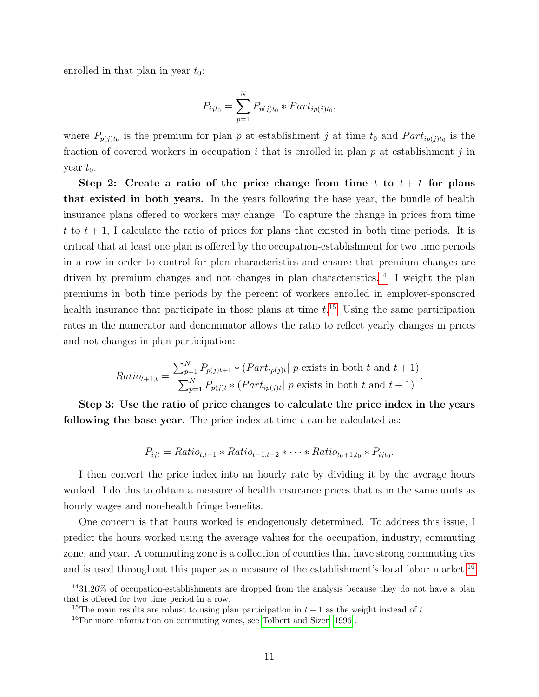enrolled in that plan in year  $t_0$ :

$$
P_{ijt_0} = \sum_{p=1}^{N} P_{p(j)t_0} * Part_{ip(j)t_0},
$$

where  $P_{p(j)t_0}$  is the premium for plan p at establishment j at time  $t_0$  and  $Part_{ip(j)t_0}$  is the fraction of covered workers in occupation i that is enrolled in plan  $p$  at establishment j in year  $t_0$ .

Step 2: Create a ratio of the price change from time t to  $t + 1$  for plans that existed in both years. In the years following the base year, the bundle of health insurance plans offered to workers may change. To capture the change in prices from time t to  $t + 1$ , I calculate the ratio of prices for plans that existed in both time periods. It is critical that at least one plan is offered by the occupation-establishment for two time periods in a row in order to control for plan characteristics and ensure that premium changes are driven by premium changes and not changes in plan characteristics.<sup>[14](#page-10-0)</sup> I weight the plan premiums in both time periods by the percent of workers enrolled in employer-sponsored health insurance that participate in those plans at time  $t<sup>15</sup>$  $t<sup>15</sup>$  $t<sup>15</sup>$  Using the same participation rates in the numerator and denominator allows the ratio to reflect yearly changes in prices and not changes in plan participation:

$$
Ratio_{t+1,t} = \frac{\sum_{p=1}^{N} P_{p(j)t+1} * (Part_{ip(j)t} | p \text{ exists in both } t \text{ and } t+1)}{\sum_{p=1}^{N} P_{p(j)t} * (Part_{ip(j)t} | p \text{ exists in both } t \text{ and } t+1)}.
$$

Step 3: Use the ratio of price changes to calculate the price index in the years following the base year. The price index at time  $t$  can be calculated as:

$$
P_{ijt} = Ratio_{t,t-1} * Ratio_{t-1,t-2} * \cdots * Ratio_{t_0+1,t_0} * P_{ijt_0}.
$$

I then convert the price index into an hourly rate by dividing it by the average hours worked. I do this to obtain a measure of health insurance prices that is in the same units as hourly wages and non-health fringe benefits.

One concern is that hours worked is endogenously determined. To address this issue, I predict the hours worked using the average values for the occupation, industry, commuting zone, and year. A commuting zone is a collection of counties that have strong commuting ties and is used throughout this paper as a measure of the establishment's local labor market.<sup>[16](#page-10-2)</sup>

<span id="page-10-0"></span><sup>14</sup>31.26% of occupation-establishments are dropped from the analysis because they do not have a plan that is offered for two time period in a row.

<span id="page-10-1"></span><sup>&</sup>lt;sup>15</sup>The main results are robust to using plan participation in  $t + 1$  as the weight instead of t.

<span id="page-10-2"></span><sup>16</sup>For more information on commuting zones, see [Tolbert and Sizer](#page-29-9) [\[1996\]](#page-29-9).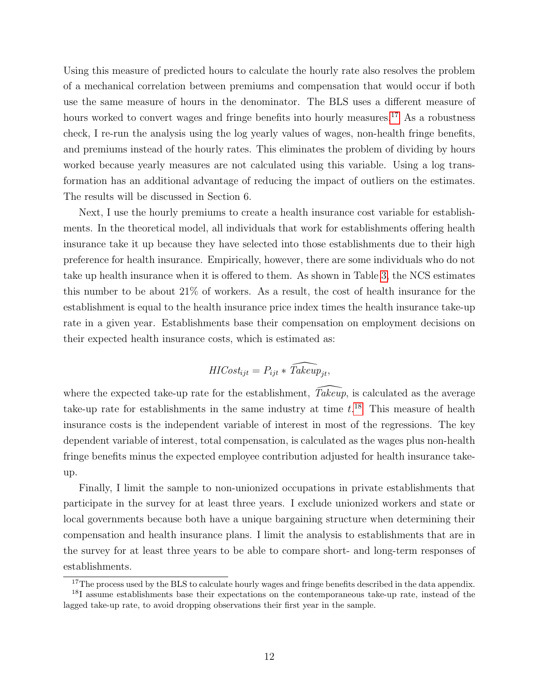Using this measure of predicted hours to calculate the hourly rate also resolves the problem of a mechanical correlation between premiums and compensation that would occur if both use the same measure of hours in the denominator. The BLS uses a different measure of hours worked to convert wages and fringe benefits into hourly measures.<sup>[17](#page-11-0)</sup> As a robustness check, I re-run the analysis using the log yearly values of wages, non-health fringe benefits, and premiums instead of the hourly rates. This eliminates the problem of dividing by hours worked because yearly measures are not calculated using this variable. Using a log transformation has an additional advantage of reducing the impact of outliers on the estimates. The results will be discussed in Section 6.

Next, I use the hourly premiums to create a health insurance cost variable for establishments. In the theoretical model, all individuals that work for establishments offering health insurance take it up because they have selected into those establishments due to their high preference for health insurance. Empirically, however, there are some individuals who do not take up health insurance when it is offered to them. As shown in Table [3,](#page-39-0) the NCS estimates this number to be about 21% of workers. As a result, the cost of health insurance for the establishment is equal to the health insurance price index times the health insurance take-up rate in a given year. Establishments base their compensation on employment decisions on their expected health insurance costs, which is estimated as:

$$
HICost_{ijt} = P_{ijt} * \widehat{Takeup}_{jt},
$$

where the expected take-up rate for the establishment,  $\widehat{Takeup}$ , is calculated as the average take-up rate for establishments in the same industry at time  $t.^{18}$  $t.^{18}$  $t.^{18}$  This measure of health insurance costs is the independent variable of interest in most of the regressions. The key dependent variable of interest, total compensation, is calculated as the wages plus non-health fringe benefits minus the expected employee contribution adjusted for health insurance takeup.

Finally, I limit the sample to non-unionized occupations in private establishments that participate in the survey for at least three years. I exclude unionized workers and state or local governments because both have a unique bargaining structure when determining their compensation and health insurance plans. I limit the analysis to establishments that are in the survey for at least three years to be able to compare short- and long-term responses of establishments.

<span id="page-11-1"></span><span id="page-11-0"></span><sup>&</sup>lt;sup>17</sup>The process used by the BLS to calculate hourly wages and fringe benefits described in the data appendix.

<sup>&</sup>lt;sup>18</sup>I assume establishments base their expectations on the contemporaneous take-up rate, instead of the lagged take-up rate, to avoid dropping observations their first year in the sample.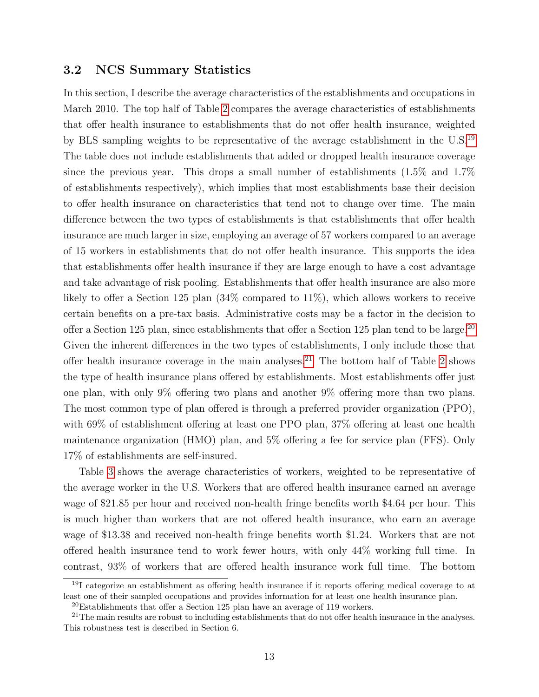#### 3.2 NCS Summary Statistics

In this section, I describe the average characteristics of the establishments and occupations in March 2010. The top half of Table [2](#page-38-0) compares the average characteristics of establishments that offer health insurance to establishments that do not offer health insurance, weighted by BLS sampling weights to be representative of the average establishment in the U.S.[19](#page-12-0) The table does not include establishments that added or dropped health insurance coverage since the previous year. This drops a small number of establishments (1.5% and 1.7% of establishments respectively), which implies that most establishments base their decision to offer health insurance on characteristics that tend not to change over time. The main difference between the two types of establishments is that establishments that offer health insurance are much larger in size, employing an average of 57 workers compared to an average of 15 workers in establishments that do not offer health insurance. This supports the idea that establishments offer health insurance if they are large enough to have a cost advantage and take advantage of risk pooling. Establishments that offer health insurance are also more likely to offer a Section 125 plan (34% compared to 11%), which allows workers to receive certain benefits on a pre-tax basis. Administrative costs may be a factor in the decision to offer a Section 125 plan, since establishments that offer a Section 125 plan tend to be large.<sup>[20](#page-12-1)</sup> Given the inherent differences in the two types of establishments, I only include those that offer health insurance coverage in the main analyses.<sup>[21](#page-12-2)</sup> The bottom half of Table [2](#page-38-0) shows the type of health insurance plans offered by establishments. Most establishments offer just one plan, with only 9% offering two plans and another 9% offering more than two plans. The most common type of plan offered is through a preferred provider organization (PPO), with 69% of establishment offering at least one PPO plan, 37% offering at least one health maintenance organization (HMO) plan, and 5% offering a fee for service plan (FFS). Only 17% of establishments are self-insured.

Table [3](#page-39-0) shows the average characteristics of workers, weighted to be representative of the average worker in the U.S. Workers that are offered health insurance earned an average wage of \$21.85 per hour and received non-health fringe benefits worth \$4.64 per hour. This is much higher than workers that are not offered health insurance, who earn an average wage of \$13.38 and received non-health fringe benefits worth \$1.24. Workers that are not offered health insurance tend to work fewer hours, with only 44% working full time. In contrast, 93% of workers that are offered health insurance work full time. The bottom

<span id="page-12-0"></span> $19I$  categorize an establishment as offering health insurance if it reports offering medical coverage to at least one of their sampled occupations and provides information for at least one health insurance plan.

<span id="page-12-2"></span><span id="page-12-1"></span> $^{20}\mathrm{Establishments}$  that offer a Section 125 plan have an average of 119 workers.

<sup>&</sup>lt;sup>21</sup>The main results are robust to including establishments that do not offer health insurance in the analyses. This robustness test is described in Section 6.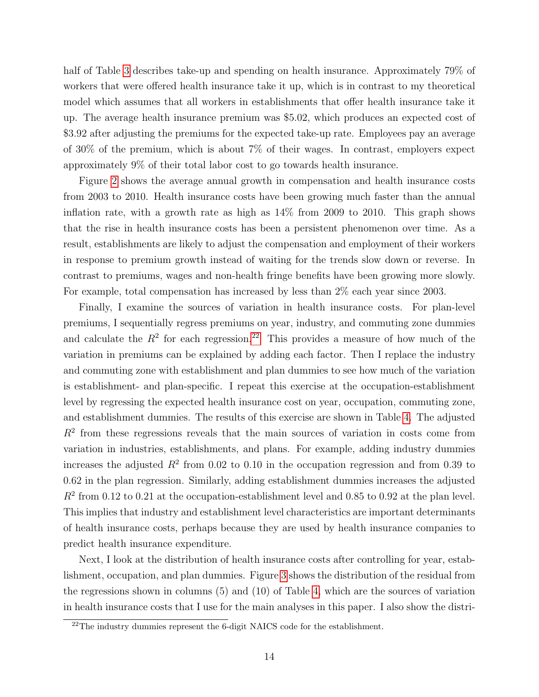half of Table [3](#page-39-0) describes take-up and spending on health insurance. Approximately 79% of workers that were offered health insurance take it up, which is in contrast to my theoretical model which assumes that all workers in establishments that offer health insurance take it up. The average health insurance premium was \$5.02, which produces an expected cost of \$3.92 after adjusting the premiums for the expected take-up rate. Employees pay an average of 30% of the premium, which is about 7% of their wages. In contrast, employers expect approximately 9% of their total labor cost to go towards health insurance.

Figure [2](#page-35-0) shows the average annual growth in compensation and health insurance costs from 2003 to 2010. Health insurance costs have been growing much faster than the annual inflation rate, with a growth rate as high as 14% from 2009 to 2010. This graph shows that the rise in health insurance costs has been a persistent phenomenon over time. As a result, establishments are likely to adjust the compensation and employment of their workers in response to premium growth instead of waiting for the trends slow down or reverse. In contrast to premiums, wages and non-health fringe benefits have been growing more slowly. For example, total compensation has increased by less than 2% each year since 2003.

Finally, I examine the sources of variation in health insurance costs. For plan-level premiums, I sequentially regress premiums on year, industry, and commuting zone dummies and calculate the  $R^2$  for each regression.<sup>[22](#page-13-0)</sup> This provides a measure of how much of the variation in premiums can be explained by adding each factor. Then I replace the industry and commuting zone with establishment and plan dummies to see how much of the variation is establishment- and plan-specific. I repeat this exercise at the occupation-establishment level by regressing the expected health insurance cost on year, occupation, commuting zone, and establishment dummies. The results of this exercise are shown in Table [4.](#page-40-0) The adjusted  $R<sup>2</sup>$  from these regressions reveals that the main sources of variation in costs come from variation in industries, establishments, and plans. For example, adding industry dummies increases the adjusted  $R^2$  from 0.02 to 0.10 in the occupation regression and from 0.39 to 0.62 in the plan regression. Similarly, adding establishment dummies increases the adjusted  $R<sup>2</sup>$  from 0.12 to 0.21 at the occupation-establishment level and 0.85 to 0.92 at the plan level. This implies that industry and establishment level characteristics are important determinants of health insurance costs, perhaps because they are used by health insurance companies to predict health insurance expenditure.

Next, I look at the distribution of health insurance costs after controlling for year, establishment, occupation, and plan dummies. Figure [3](#page-36-0) shows the distribution of the residual from the regressions shown in columns (5) and (10) of Table [4,](#page-40-0) which are the sources of variation in health insurance costs that I use for the main analyses in this paper. I also show the distri-

<span id="page-13-0"></span> $22$ The industry dummies represent the 6-digit NAICS code for the establishment.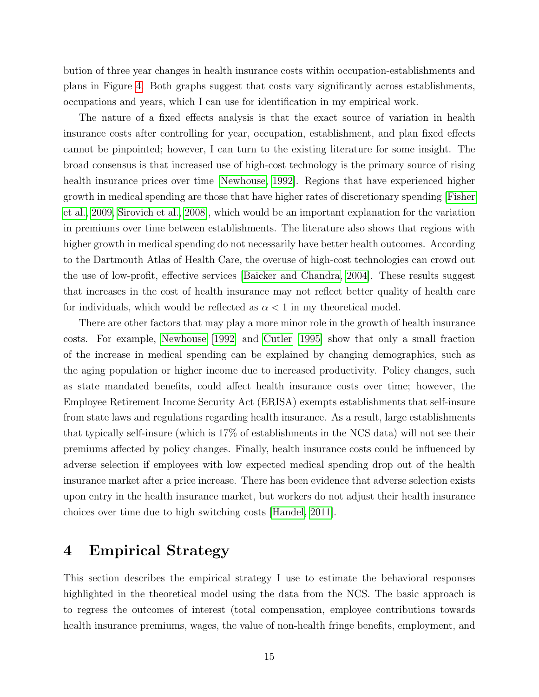bution of three year changes in health insurance costs within occupation-establishments and plans in Figure [4.](#page-37-0) Both graphs suggest that costs vary significantly across establishments, occupations and years, which I can use for identification in my empirical work.

The nature of a fixed effects analysis is that the exact source of variation in health insurance costs after controlling for year, occupation, establishment, and plan fixed effects cannot be pinpointed; however, I can turn to the existing literature for some insight. The broad consensus is that increased use of high-cost technology is the primary source of rising health insurance prices over time [\[Newhouse, 1992\]](#page-29-10). Regions that have experienced higher growth in medical spending are those that have higher rates of discretionary spending [\[Fisher](#page-28-12) [et al., 2009,](#page-28-12) [Sirovich et al., 2008\]](#page-29-11), which would be an important explanation for the variation in premiums over time between establishments. The literature also shows that regions with higher growth in medical spending do not necessarily have better health outcomes. According to the Dartmouth Atlas of Health Care, the overuse of high-cost technologies can crowd out the use of low-profit, effective services [\[Baicker and Chandra, 2004\]](#page-27-2). These results suggest that increases in the cost of health insurance may not reflect better quality of health care for individuals, which would be reflected as  $\alpha < 1$  in my theoretical model.

There are other factors that may play a more minor role in the growth of health insurance costs. For example, [Newhouse](#page-29-10) [\[1992\]](#page-29-10) and [Cutler](#page-28-13) [\[1995\]](#page-28-13) show that only a small fraction of the increase in medical spending can be explained by changing demographics, such as the aging population or higher income due to increased productivity. Policy changes, such as state mandated benefits, could affect health insurance costs over time; however, the Employee Retirement Income Security Act (ERISA) exempts establishments that self-insure from state laws and regulations regarding health insurance. As a result, large establishments that typically self-insure (which is 17% of establishments in the NCS data) will not see their premiums affected by policy changes. Finally, health insurance costs could be influenced by adverse selection if employees with low expected medical spending drop out of the health insurance market after a price increase. There has been evidence that adverse selection exists upon entry in the health insurance market, but workers do not adjust their health insurance choices over time due to high switching costs [\[Handel, 2011\]](#page-29-12).

### 4 Empirical Strategy

This section describes the empirical strategy I use to estimate the behavioral responses highlighted in the theoretical model using the data from the NCS. The basic approach is to regress the outcomes of interest (total compensation, employee contributions towards health insurance premiums, wages, the value of non-health fringe benefits, employment, and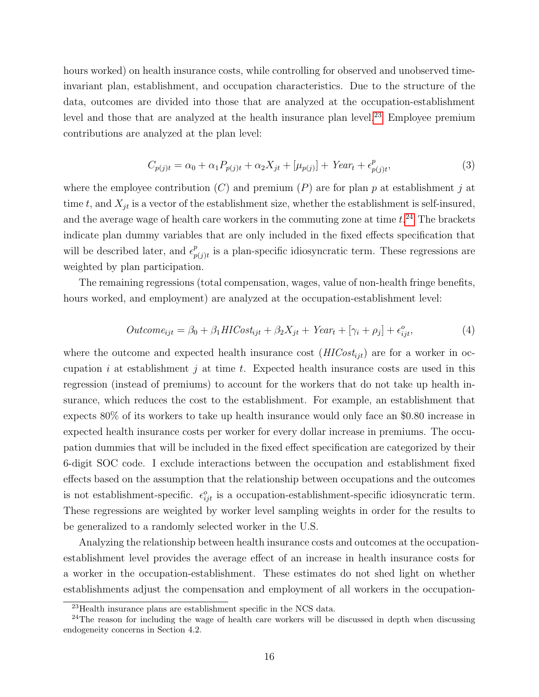hours worked) on health insurance costs, while controlling for observed and unobserved timeinvariant plan, establishment, and occupation characteristics. Due to the structure of the data, outcomes are divided into those that are analyzed at the occupation-establishment level and those that are analyzed at the health insurance plan level.<sup>[23](#page-15-0)</sup> Employee premium contributions are analyzed at the plan level:

<span id="page-15-2"></span>
$$
C_{p(j)t} = \alpha_0 + \alpha_1 P_{p(j)t} + \alpha_2 X_{jt} + [\mu_{p(j)}] + Year_t + \epsilon_{p(j)t}^p,
$$
\n(3)

where the employee contribution  $(C)$  and premium  $(P)$  are for plan p at establishment j at time t, and  $X_{jt}$  is a vector of the establishment size, whether the establishment is self-insured, and the average wage of health care workers in the commuting zone at time  $t.^{24}$  $t.^{24}$  $t.^{24}$  The brackets indicate plan dummy variables that are only included in the fixed effects specification that will be described later, and  $\epsilon_n^p$  $_{p(j)t}^{p}$  is a plan-specific idiosyncratic term. These regressions are weighted by plan participation.

The remaining regressions (total compensation, wages, value of non-health fringe benefits, hours worked, and employment) are analyzed at the occupation-establishment level:

<span id="page-15-3"></span>
$$
Outcome_{ijt} = \beta_0 + \beta_1 HICost_{ijt} + \beta_2 X_{jt} + Year_t + [\gamma_i + \rho_j] + \epsilon_{ijt}^o,
$$
\n
$$
\tag{4}
$$

where the outcome and expected health insurance cost  $(HICost_{it})$  are for a worker in occupation i at establishment j at time t. Expected health insurance costs are used in this regression (instead of premiums) to account for the workers that do not take up health insurance, which reduces the cost to the establishment. For example, an establishment that expects 80% of its workers to take up health insurance would only face an \$0.80 increase in expected health insurance costs per worker for every dollar increase in premiums. The occupation dummies that will be included in the fixed effect specification are categorized by their 6-digit SOC code. I exclude interactions between the occupation and establishment fixed effects based on the assumption that the relationship between occupations and the outcomes is not establishment-specific.  $\epsilon_{ijt}^o$  is a occupation-establishment-specific idiosyncratic term. These regressions are weighted by worker level sampling weights in order for the results to be generalized to a randomly selected worker in the U.S.

Analyzing the relationship between health insurance costs and outcomes at the occupationestablishment level provides the average effect of an increase in health insurance costs for a worker in the occupation-establishment. These estimates do not shed light on whether establishments adjust the compensation and employment of all workers in the occupation-

<span id="page-15-1"></span><span id="page-15-0"></span><sup>23</sup>Health insurance plans are establishment specific in the NCS data.

 $24$ The reason for including the wage of health care workers will be discussed in depth when discussing endogeneity concerns in Section 4.2.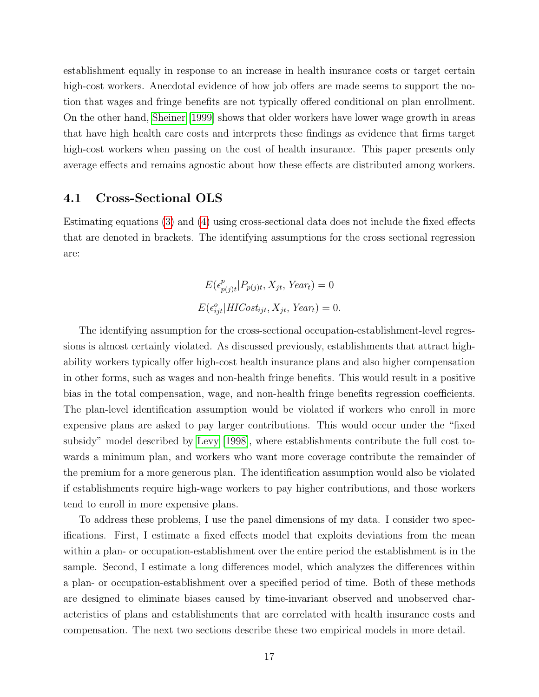establishment equally in response to an increase in health insurance costs or target certain high-cost workers. Anecdotal evidence of how job offers are made seems to support the notion that wages and fringe benefits are not typically offered conditional on plan enrollment. On the other hand, [Sheiner](#page-29-13) [\[1999\]](#page-29-13) shows that older workers have lower wage growth in areas that have high health care costs and interprets these findings as evidence that firms target high-cost workers when passing on the cost of health insurance. This paper presents only average effects and remains agnostic about how these effects are distributed among workers.

#### 4.1 Cross-Sectional OLS

Estimating equations [\(3\)](#page-15-2) and [\(4\)](#page-15-3) using cross-sectional data does not include the fixed effects that are denoted in brackets. The identifying assumptions for the cross sectional regression are:

$$
E(\epsilon_{p(j)t}^p | P_{p(j)t}, X_{jt}, Year_t) = 0
$$
  

$$
E(\epsilon_{ijt}^o | HICost_{ijt}, X_{jt}, Year_t) = 0.
$$

The identifying assumption for the cross-sectional occupation-establishment-level regressions is almost certainly violated. As discussed previously, establishments that attract highability workers typically offer high-cost health insurance plans and also higher compensation in other forms, such as wages and non-health fringe benefits. This would result in a positive bias in the total compensation, wage, and non-health fringe benefits regression coefficients. The plan-level identification assumption would be violated if workers who enroll in more expensive plans are asked to pay larger contributions. This would occur under the "fixed subsidy" model described by [Levy](#page-29-0) [\[1998\]](#page-29-0), where establishments contribute the full cost towards a minimum plan, and workers who want more coverage contribute the remainder of the premium for a more generous plan. The identification assumption would also be violated if establishments require high-wage workers to pay higher contributions, and those workers tend to enroll in more expensive plans.

To address these problems, I use the panel dimensions of my data. I consider two specifications. First, I estimate a fixed effects model that exploits deviations from the mean within a plan- or occupation-establishment over the entire period the establishment is in the sample. Second, I estimate a long differences model, which analyzes the differences within a plan- or occupation-establishment over a specified period of time. Both of these methods are designed to eliminate biases caused by time-invariant observed and unobserved characteristics of plans and establishments that are correlated with health insurance costs and compensation. The next two sections describe these two empirical models in more detail.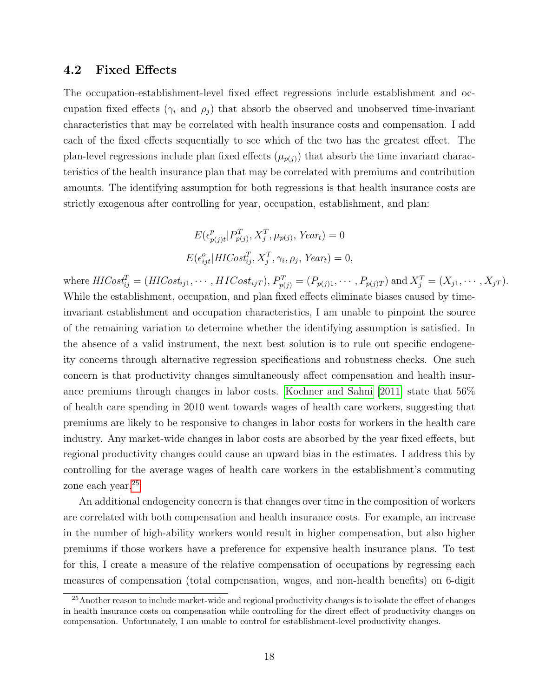#### 4.2 Fixed Effects

The occupation-establishment-level fixed effect regressions include establishment and occupation fixed effects ( $\gamma_i$  and  $\rho_j$ ) that absorb the observed and unobserved time-invariant characteristics that may be correlated with health insurance costs and compensation. I add each of the fixed effects sequentially to see which of the two has the greatest effect. The plan-level regressions include plan fixed effects  $(\mu_{p(j)})$  that absorb the time invariant characteristics of the health insurance plan that may be correlated with premiums and contribution amounts. The identifying assumption for both regressions is that health insurance costs are strictly exogenous after controlling for year, occupation, establishment, and plan:

$$
E(\epsilon_{p(j)t}^p | P_{p(j)}^T, X_j^T, \mu_{p(j)}, \text{Year}_t) = 0
$$
  

$$
E(\epsilon_{ijt}^o | \text{HICost}_{ij}^T, X_j^T, \gamma_i, \rho_j, \text{Year}_t) = 0,
$$

where  $\textit{HICost}_{ij}^T = (\textit{HICost}_{ij1}, \cdots, \textit{HICost}_{ijT}), P_{p(j)}^T = (P_{p(j)1}, \cdots, P_{p(j)T})$  and  $X_j^T = (X_{j1}, \cdots, X_{jT}).$ While the establishment, occupation, and plan fixed effects eliminate biases caused by timeinvariant establishment and occupation characteristics, I am unable to pinpoint the source of the remaining variation to determine whether the identifying assumption is satisfied. In the absence of a valid instrument, the next best solution is to rule out specific endogeneity concerns through alternative regression specifications and robustness checks. One such concern is that productivity changes simultaneously affect compensation and health insurance premiums through changes in labor costs. [Kochner and Sahni](#page-29-14) [\[2011\]](#page-29-14) state that 56% of health care spending in 2010 went towards wages of health care workers, suggesting that premiums are likely to be responsive to changes in labor costs for workers in the health care industry. Any market-wide changes in labor costs are absorbed by the year fixed effects, but regional productivity changes could cause an upward bias in the estimates. I address this by controlling for the average wages of health care workers in the establishment's commuting zone each year.<sup>[25](#page-17-0)</sup>

An additional endogeneity concern is that changes over time in the composition of workers are correlated with both compensation and health insurance costs. For example, an increase in the number of high-ability workers would result in higher compensation, but also higher premiums if those workers have a preference for expensive health insurance plans. To test for this, I create a measure of the relative compensation of occupations by regressing each measures of compensation (total compensation, wages, and non-health benefits) on 6-digit

<span id="page-17-0"></span><sup>&</sup>lt;sup>25</sup> Another reason to include market-wide and regional productivity changes is to isolate the effect of changes in health insurance costs on compensation while controlling for the direct effect of productivity changes on compensation. Unfortunately, I am unable to control for establishment-level productivity changes.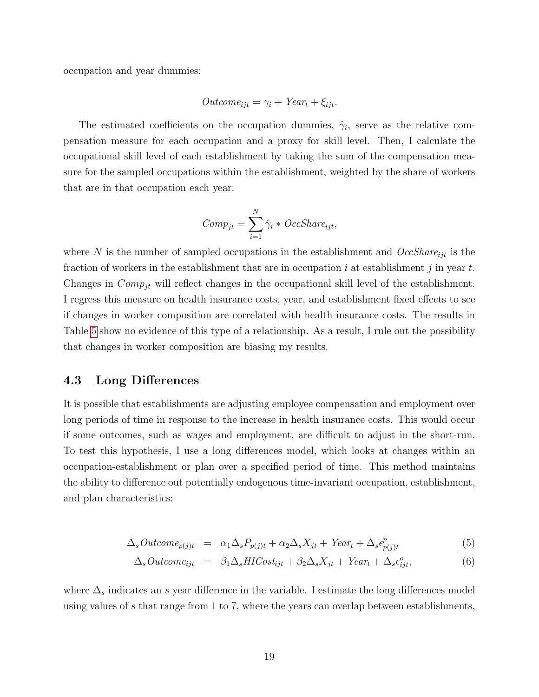occupation and year dummies:

$$
Outcome_{ijt} = \gamma_i + Year_t + \xi_{ijt}.
$$

The estimated coefficients on the occupation dummies,  $\hat{\gamma}_i$ , serve as the relative compensation measure for each occupation and a proxy for skill level. Then, I calculate the occupational skill level of each establishment by taking the sum of the compensation measure for the sampled occupations within the establishment, weighted by the share of workers that are in that occupation each year:

$$
Comp_{jt} = \sum_{i=1}^{N} \hat{\gamma}_i * OccShare_{ijt},
$$

where N is the number of sampled occupations in the establishment and  $OccShare_{ijt}$  is the fraction of workers in the establishment that are in occupation i at establishment j in year  $t$ . Changes in  $Comp_{jt}$  will reflect changes in the occupational skill level of the establishment. I regress this measure on health insurance costs, year, and establishment fixed effects to see if changes in worker composition are correlated with health insurance costs. The results in Table [5](#page-41-0) show no evidence of this type of a relationship. As a result, I rule out the possibility that changes in worker composition are biasing my results.

#### 4.3 Long Differences

It is possible that establishments are adjusting employee compensation and employment over long periods of time in response to the increase in health insurance costs. This would occur if some outcomes, such as wages and employment, are difficult to adjust in the short-run. To test this hypothesis, I use a long differences model, which looks at changes within an occupation-establishment or plan over a specified period of time. This method maintains the ability to difference out potentially endogenous time-invariant occupation, establishment, and plan characteristics:

<span id="page-18-0"></span>
$$
\Delta_s Outcome_{p(j)t} = \alpha_1 \Delta_s P_{p(j)t} + \alpha_2 \Delta_s X_{jt} + Year_t + \Delta_s \epsilon_{p(j)t}^p \tag{5}
$$

$$
\Delta_s Outcome_{ijt} = \beta_1 \Delta_s HICost_{ijt} + \beta_2 \Delta_s X_{jt} + Year_t + \Delta_s \epsilon_{ijt}^o, \tag{6}
$$

where  $\Delta_s$  indicates an s year difference in the variable. I estimate the long differences model using values of s that range from 1 to 7, where the years can overlap between establishments,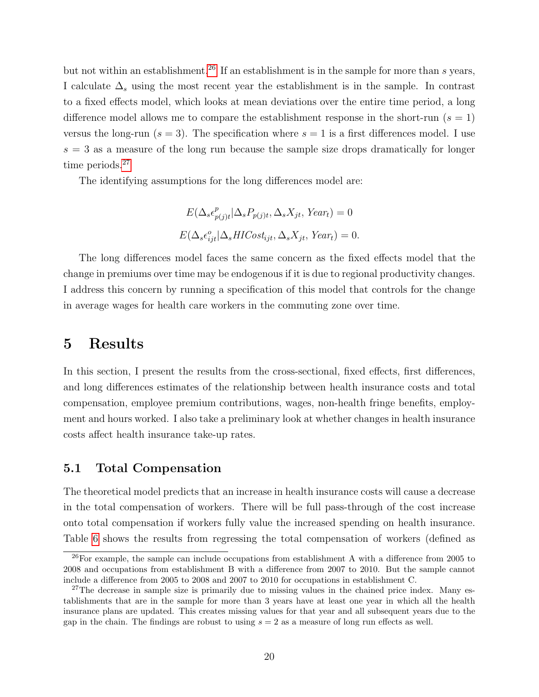but not within an establishment.<sup>[26](#page-19-0)</sup> If an establishment is in the sample for more than s years, I calculate  $\Delta_s$  using the most recent year the establishment is in the sample. In contrast to a fixed effects model, which looks at mean deviations over the entire time period, a long difference model allows me to compare the establishment response in the short-run  $(s = 1)$ versus the long-run  $(s = 3)$ . The specification where  $s = 1$  is a first differences model. I use  $s = 3$  as a measure of the long run because the sample size drops dramatically for longer time periods.<sup>[27](#page-19-1)</sup>

The identifying assumptions for the long differences model are:

$$
E(\Delta_s \epsilon_{p(j)t}^p | \Delta_s P_{p(j)t}, \Delta_s X_{jt}, \text{Year}_t) = 0
$$
  

$$
E(\Delta_s \epsilon_{ijt}^o | \Delta_s \text{HICost}_{ijt}, \Delta_s X_{jt}, \text{Year}_t) = 0.
$$

The long differences model faces the same concern as the fixed effects model that the change in premiums over time may be endogenous if it is due to regional productivity changes. I address this concern by running a specification of this model that controls for the change in average wages for health care workers in the commuting zone over time.

### 5 Results

In this section, I present the results from the cross-sectional, fixed effects, first differences, and long differences estimates of the relationship between health insurance costs and total compensation, employee premium contributions, wages, non-health fringe benefits, employment and hours worked. I also take a preliminary look at whether changes in health insurance costs affect health insurance take-up rates.

#### 5.1 Total Compensation

The theoretical model predicts that an increase in health insurance costs will cause a decrease in the total compensation of workers. There will be full pass-through of the cost increase onto total compensation if workers fully value the increased spending on health insurance. Table [6](#page-42-0) shows the results from regressing the total compensation of workers (defined as

<span id="page-19-0"></span><sup>&</sup>lt;sup>26</sup>For example, the sample can include occupations from establishment A with a difference from 2005 to 2008 and occupations from establishment B with a difference from 2007 to 2010. But the sample cannot include a difference from 2005 to 2008 and 2007 to 2010 for occupations in establishment C.

<span id="page-19-1"></span> $27$ The decrease in sample size is primarily due to missing values in the chained price index. Many establishments that are in the sample for more than 3 years have at least one year in which all the health insurance plans are updated. This creates missing values for that year and all subsequent years due to the gap in the chain. The findings are robust to using  $s = 2$  as a measure of long run effects as well.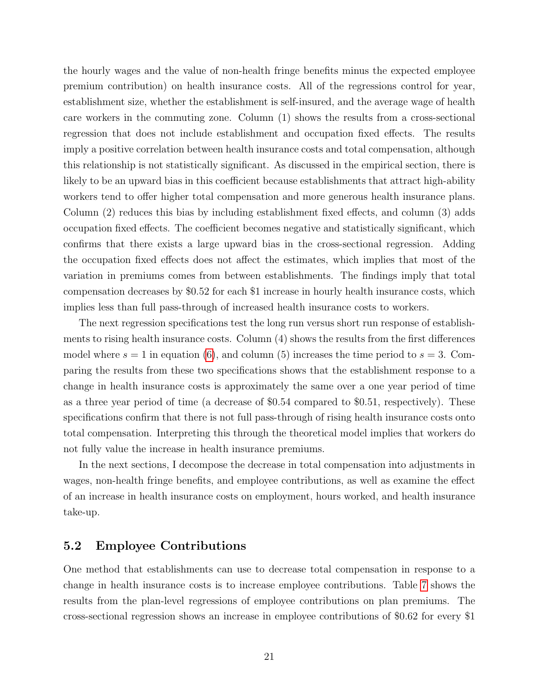the hourly wages and the value of non-health fringe benefits minus the expected employee premium contribution) on health insurance costs. All of the regressions control for year, establishment size, whether the establishment is self-insured, and the average wage of health care workers in the commuting zone. Column (1) shows the results from a cross-sectional regression that does not include establishment and occupation fixed effects. The results imply a positive correlation between health insurance costs and total compensation, although this relationship is not statistically significant. As discussed in the empirical section, there is likely to be an upward bias in this coefficient because establishments that attract high-ability workers tend to offer higher total compensation and more generous health insurance plans. Column (2) reduces this bias by including establishment fixed effects, and column (3) adds occupation fixed effects. The coefficient becomes negative and statistically significant, which confirms that there exists a large upward bias in the cross-sectional regression. Adding the occupation fixed effects does not affect the estimates, which implies that most of the variation in premiums comes from between establishments. The findings imply that total compensation decreases by \$0.52 for each \$1 increase in hourly health insurance costs, which implies less than full pass-through of increased health insurance costs to workers.

The next regression specifications test the long run versus short run response of establishments to rising health insurance costs. Column (4) shows the results from the first differences model where  $s = 1$  in equation [\(6\)](#page-18-0), and column (5) increases the time period to  $s = 3$ . Comparing the results from these two specifications shows that the establishment response to a change in health insurance costs is approximately the same over a one year period of time as a three year period of time (a decrease of \$0.54 compared to \$0.51, respectively). These specifications confirm that there is not full pass-through of rising health insurance costs onto total compensation. Interpreting this through the theoretical model implies that workers do not fully value the increase in health insurance premiums.

In the next sections, I decompose the decrease in total compensation into adjustments in wages, non-health fringe benefits, and employee contributions, as well as examine the effect of an increase in health insurance costs on employment, hours worked, and health insurance take-up.

#### 5.2 Employee Contributions

One method that establishments can use to decrease total compensation in response to a change in health insurance costs is to increase employee contributions. Table [7](#page-43-0) shows the results from the plan-level regressions of employee contributions on plan premiums. The cross-sectional regression shows an increase in employee contributions of \$0.62 for every \$1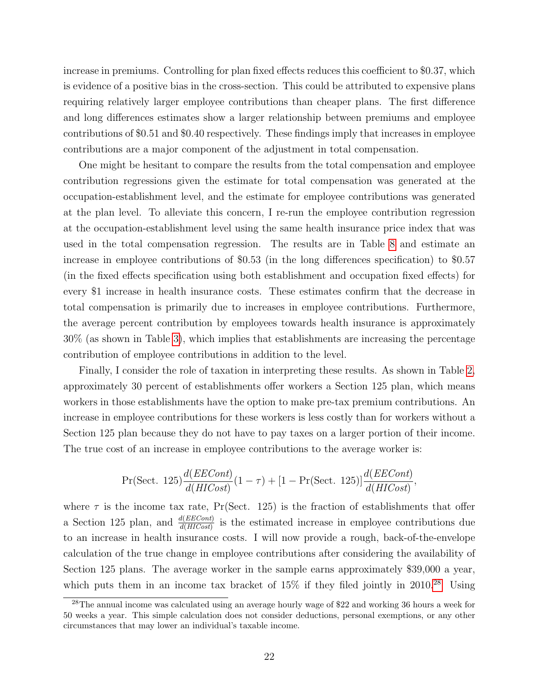increase in premiums. Controlling for plan fixed effects reduces this coefficient to \$0.37, which is evidence of a positive bias in the cross-section. This could be attributed to expensive plans requiring relatively larger employee contributions than cheaper plans. The first difference and long differences estimates show a larger relationship between premiums and employee contributions of \$0.51 and \$0.40 respectively. These findings imply that increases in employee contributions are a major component of the adjustment in total compensation.

One might be hesitant to compare the results from the total compensation and employee contribution regressions given the estimate for total compensation was generated at the occupation-establishment level, and the estimate for employee contributions was generated at the plan level. To alleviate this concern, I re-run the employee contribution regression at the occupation-establishment level using the same health insurance price index that was used in the total compensation regression. The results are in Table [8](#page-44-0) and estimate an increase in employee contributions of \$0.53 (in the long differences specification) to \$0.57 (in the fixed effects specification using both establishment and occupation fixed effects) for every \$1 increase in health insurance costs. These estimates confirm that the decrease in total compensation is primarily due to increases in employee contributions. Furthermore, the average percent contribution by employees towards health insurance is approximately 30% (as shown in Table [3\)](#page-39-0), which implies that establishments are increasing the percentage contribution of employee contributions in addition to the level.

Finally, I consider the role of taxation in interpreting these results. As shown in Table [2,](#page-38-0) approximately 30 percent of establishments offer workers a Section 125 plan, which means workers in those establishments have the option to make pre-tax premium contributions. An increase in employee contributions for these workers is less costly than for workers without a Section 125 plan because they do not have to pay taxes on a larger portion of their income. The true cost of an increase in employee contributions to the average worker is:

$$
Pr(\text{Sect. } 125) \frac{d(EECont)}{d(HICost)} (1 - \tau) + [1 - Pr(\text{Sect. } 125)] \frac{d(EECont)}{d(HICost)}
$$

,

where  $\tau$  is the income tax rate, Pr(Sect. 125) is the fraction of establishments that offer a Section 125 plan, and  $\frac{d(EECont)}{d(HCost)}$  is the estimated increase in employee contributions due to an increase in health insurance costs. I will now provide a rough, back-of-the-envelope calculation of the true change in employee contributions after considering the availability of Section 125 plans. The average worker in the sample earns approximately \$39,000 a year, which puts them in an income tax bracket of  $15\%$  if they filed jointly in 2010.<sup>[28](#page-21-0)</sup> Using

<span id="page-21-0"></span><sup>28</sup>The annual income was calculated using an average hourly wage of \$22 and working 36 hours a week for 50 weeks a year. This simple calculation does not consider deductions, personal exemptions, or any other circumstances that may lower an individual's taxable income.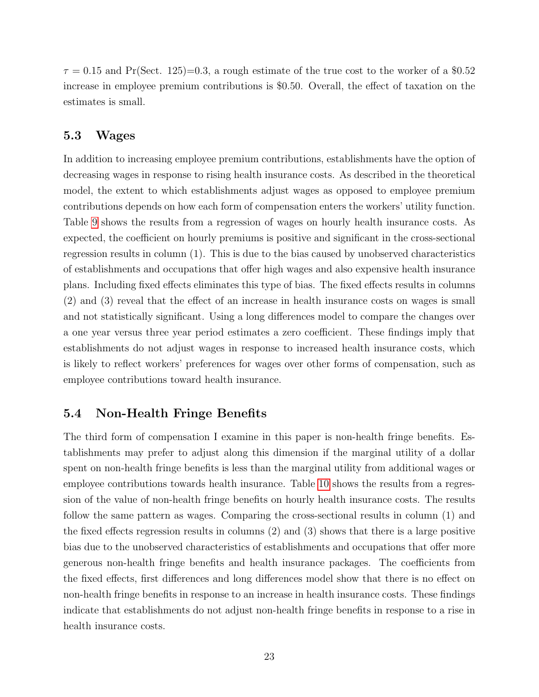$\tau = 0.15$  and Pr(Sect. 125)=0.3, a rough estimate of the true cost to the worker of a \$0.52 increase in employee premium contributions is \$0.50. Overall, the effect of taxation on the estimates is small.

#### 5.3 Wages

In addition to increasing employee premium contributions, establishments have the option of decreasing wages in response to rising health insurance costs. As described in the theoretical model, the extent to which establishments adjust wages as opposed to employee premium contributions depends on how each form of compensation enters the workers' utility function. Table [9](#page-45-0) shows the results from a regression of wages on hourly health insurance costs. As expected, the coefficient on hourly premiums is positive and significant in the cross-sectional regression results in column (1). This is due to the bias caused by unobserved characteristics of establishments and occupations that offer high wages and also expensive health insurance plans. Including fixed effects eliminates this type of bias. The fixed effects results in columns (2) and (3) reveal that the effect of an increase in health insurance costs on wages is small and not statistically significant. Using a long differences model to compare the changes over a one year versus three year period estimates a zero coefficient. These findings imply that establishments do not adjust wages in response to increased health insurance costs, which is likely to reflect workers' preferences for wages over other forms of compensation, such as employee contributions toward health insurance.

#### 5.4 Non-Health Fringe Benefits

The third form of compensation I examine in this paper is non-health fringe benefits. Establishments may prefer to adjust along this dimension if the marginal utility of a dollar spent on non-health fringe benefits is less than the marginal utility from additional wages or employee contributions towards health insurance. Table [10](#page-46-0) shows the results from a regression of the value of non-health fringe benefits on hourly health insurance costs. The results follow the same pattern as wages. Comparing the cross-sectional results in column (1) and the fixed effects regression results in columns (2) and (3) shows that there is a large positive bias due to the unobserved characteristics of establishments and occupations that offer more generous non-health fringe benefits and health insurance packages. The coefficients from the fixed effects, first differences and long differences model show that there is no effect on non-health fringe benefits in response to an increase in health insurance costs. These findings indicate that establishments do not adjust non-health fringe benefits in response to a rise in health insurance costs.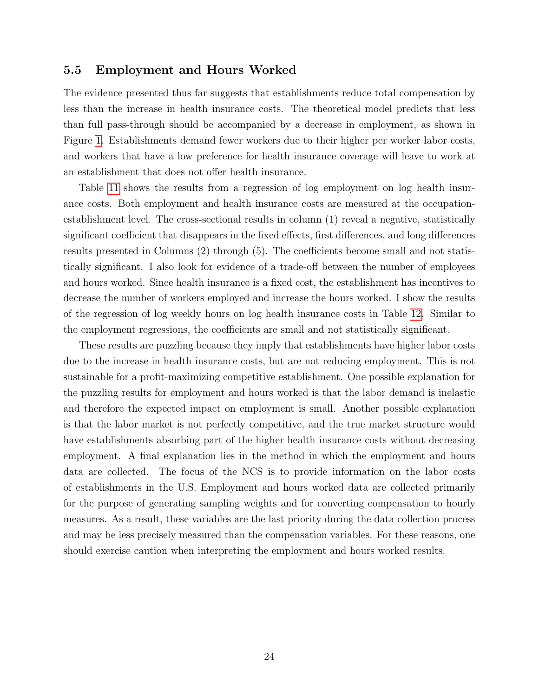#### 5.5 Employment and Hours Worked

The evidence presented thus far suggests that establishments reduce total compensation by less than the increase in health insurance costs. The theoretical model predicts that less than full pass-through should be accompanied by a decrease in employment, as shown in Figure [1.](#page-34-0) Establishments demand fewer workers due to their higher per worker labor costs, and workers that have a low preference for health insurance coverage will leave to work at an establishment that does not offer health insurance.

Table [11](#page-47-0) shows the results from a regression of log employment on log health insurance costs. Both employment and health insurance costs are measured at the occupationestablishment level. The cross-sectional results in column (1) reveal a negative, statistically significant coefficient that disappears in the fixed effects, first differences, and long differences results presented in Columns (2) through (5). The coefficients become small and not statistically significant. I also look for evidence of a trade-off between the number of employees and hours worked. Since health insurance is a fixed cost, the establishment has incentives to decrease the number of workers employed and increase the hours worked. I show the results of the regression of log weekly hours on log health insurance costs in Table [12.](#page-48-0) Similar to the employment regressions, the coefficients are small and not statistically significant.

These results are puzzling because they imply that establishments have higher labor costs due to the increase in health insurance costs, but are not reducing employment. This is not sustainable for a profit-maximizing competitive establishment. One possible explanation for the puzzling results for employment and hours worked is that the labor demand is inelastic and therefore the expected impact on employment is small. Another possible explanation is that the labor market is not perfectly competitive, and the true market structure would have establishments absorbing part of the higher health insurance costs without decreasing employment. A final explanation lies in the method in which the employment and hours data are collected. The focus of the NCS is to provide information on the labor costs of establishments in the U.S. Employment and hours worked data are collected primarily for the purpose of generating sampling weights and for converting compensation to hourly measures. As a result, these variables are the last priority during the data collection process and may be less precisely measured than the compensation variables. For these reasons, one should exercise caution when interpreting the employment and hours worked results.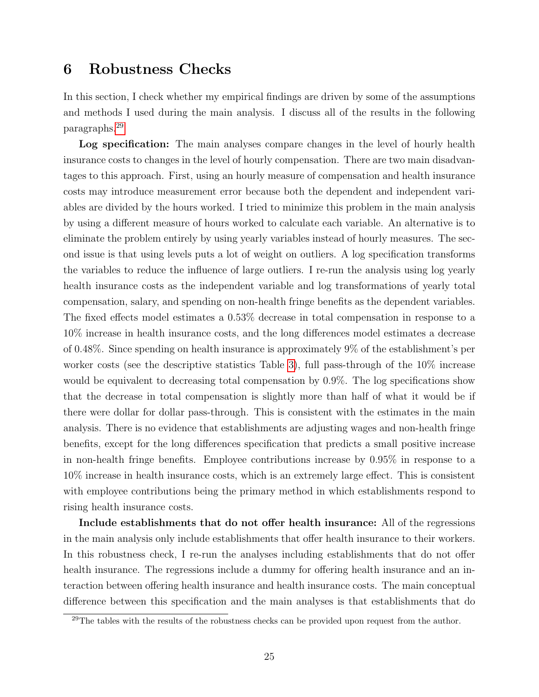### 6 Robustness Checks

In this section, I check whether my empirical findings are driven by some of the assumptions and methods I used during the main analysis. I discuss all of the results in the following paragraphs.[29](#page-24-0)

Log specification: The main analyses compare changes in the level of hourly health insurance costs to changes in the level of hourly compensation. There are two main disadvantages to this approach. First, using an hourly measure of compensation and health insurance costs may introduce measurement error because both the dependent and independent variables are divided by the hours worked. I tried to minimize this problem in the main analysis by using a different measure of hours worked to calculate each variable. An alternative is to eliminate the problem entirely by using yearly variables instead of hourly measures. The second issue is that using levels puts a lot of weight on outliers. A log specification transforms the variables to reduce the influence of large outliers. I re-run the analysis using log yearly health insurance costs as the independent variable and log transformations of yearly total compensation, salary, and spending on non-health fringe benefits as the dependent variables. The fixed effects model estimates a 0.53% decrease in total compensation in response to a 10% increase in health insurance costs, and the long differences model estimates a decrease of 0.48%. Since spending on health insurance is approximately 9% of the establishment's per worker costs (see the descriptive statistics Table [3\)](#page-39-0), full pass-through of the 10% increase would be equivalent to decreasing total compensation by 0.9%. The log specifications show that the decrease in total compensation is slightly more than half of what it would be if there were dollar for dollar pass-through. This is consistent with the estimates in the main analysis. There is no evidence that establishments are adjusting wages and non-health fringe benefits, except for the long differences specification that predicts a small positive increase in non-health fringe benefits. Employee contributions increase by 0.95% in response to a 10% increase in health insurance costs, which is an extremely large effect. This is consistent with employee contributions being the primary method in which establishments respond to rising health insurance costs.

Include establishments that do not offer health insurance: All of the regressions in the main analysis only include establishments that offer health insurance to their workers. In this robustness check, I re-run the analyses including establishments that do not offer health insurance. The regressions include a dummy for offering health insurance and an interaction between offering health insurance and health insurance costs. The main conceptual difference between this specification and the main analyses is that establishments that do

<span id="page-24-0"></span><sup>&</sup>lt;sup>29</sup>The tables with the results of the robustness checks can be provided upon request from the author.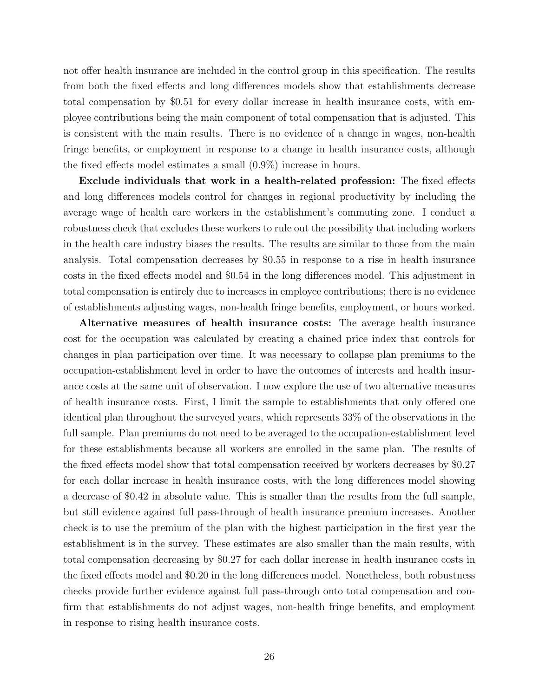not offer health insurance are included in the control group in this specification. The results from both the fixed effects and long differences models show that establishments decrease total compensation by \$0.51 for every dollar increase in health insurance costs, with employee contributions being the main component of total compensation that is adjusted. This is consistent with the main results. There is no evidence of a change in wages, non-health fringe benefits, or employment in response to a change in health insurance costs, although the fixed effects model estimates a small (0.9%) increase in hours.

Exclude individuals that work in a health-related profession: The fixed effects and long differences models control for changes in regional productivity by including the average wage of health care workers in the establishment's commuting zone. I conduct a robustness check that excludes these workers to rule out the possibility that including workers in the health care industry biases the results. The results are similar to those from the main analysis. Total compensation decreases by \$0.55 in response to a rise in health insurance costs in the fixed effects model and \$0.54 in the long differences model. This adjustment in total compensation is entirely due to increases in employee contributions; there is no evidence of establishments adjusting wages, non-health fringe benefits, employment, or hours worked.

Alternative measures of health insurance costs: The average health insurance cost for the occupation was calculated by creating a chained price index that controls for changes in plan participation over time. It was necessary to collapse plan premiums to the occupation-establishment level in order to have the outcomes of interests and health insurance costs at the same unit of observation. I now explore the use of two alternative measures of health insurance costs. First, I limit the sample to establishments that only offered one identical plan throughout the surveyed years, which represents 33% of the observations in the full sample. Plan premiums do not need to be averaged to the occupation-establishment level for these establishments because all workers are enrolled in the same plan. The results of the fixed effects model show that total compensation received by workers decreases by \$0.27 for each dollar increase in health insurance costs, with the long differences model showing a decrease of \$0.42 in absolute value. This is smaller than the results from the full sample, but still evidence against full pass-through of health insurance premium increases. Another check is to use the premium of the plan with the highest participation in the first year the establishment is in the survey. These estimates are also smaller than the main results, with total compensation decreasing by \$0.27 for each dollar increase in health insurance costs in the fixed effects model and \$0.20 in the long differences model. Nonetheless, both robustness checks provide further evidence against full pass-through onto total compensation and confirm that establishments do not adjust wages, non-health fringe benefits, and employment in response to rising health insurance costs.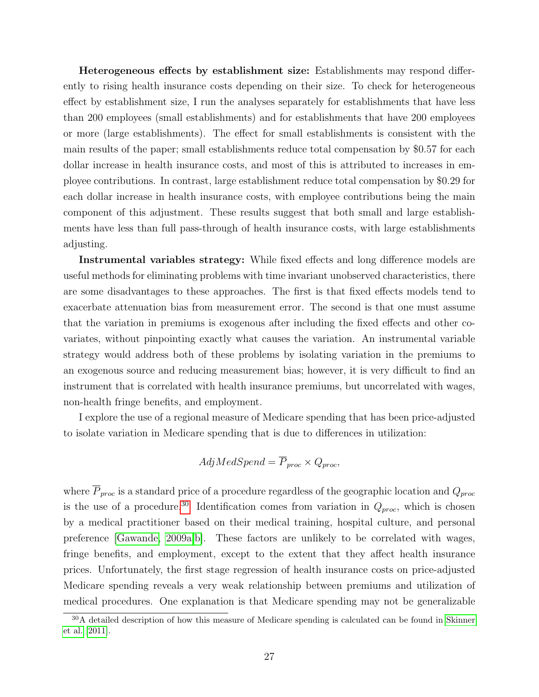Heterogeneous effects by establishment size: Establishments may respond differently to rising health insurance costs depending on their size. To check for heterogeneous effect by establishment size, I run the analyses separately for establishments that have less than 200 employees (small establishments) and for establishments that have 200 employees or more (large establishments). The effect for small establishments is consistent with the main results of the paper; small establishments reduce total compensation by \$0.57 for each dollar increase in health insurance costs, and most of this is attributed to increases in employee contributions. In contrast, large establishment reduce total compensation by \$0.29 for each dollar increase in health insurance costs, with employee contributions being the main component of this adjustment. These results suggest that both small and large establishments have less than full pass-through of health insurance costs, with large establishments adjusting.

Instrumental variables strategy: While fixed effects and long difference models are useful methods for eliminating problems with time invariant unobserved characteristics, there are some disadvantages to these approaches. The first is that fixed effects models tend to exacerbate attenuation bias from measurement error. The second is that one must assume that the variation in premiums is exogenous after including the fixed effects and other covariates, without pinpointing exactly what causes the variation. An instrumental variable strategy would address both of these problems by isolating variation in the premiums to an exogenous source and reducing measurement bias; however, it is very difficult to find an instrument that is correlated with health insurance premiums, but uncorrelated with wages, non-health fringe benefits, and employment.

I explore the use of a regional measure of Medicare spending that has been price-adjusted to isolate variation in Medicare spending that is due to differences in utilization:

$$
AdjMedSpend = \overline{P}_{proc} \times Q_{proc},
$$

where  $\overline{P}_{proc}$  is a standard price of a procedure regardless of the geographic location and  $Q_{proc}$ is the use of a procedure.<sup>[30](#page-26-0)</sup> Identification comes from variation in  $Q_{proc}$ , which is chosen by a medical practitioner based on their medical training, hospital culture, and personal preference [\[Gawande, 2009a,](#page-28-14)[b\]](#page-28-15). These factors are unlikely to be correlated with wages, fringe benefits, and employment, except to the extent that they affect health insurance prices. Unfortunately, the first stage regression of health insurance costs on price-adjusted Medicare spending reveals a very weak relationship between premiums and utilization of medical procedures. One explanation is that Medicare spending may not be generalizable

<span id="page-26-0"></span><sup>&</sup>lt;sup>30</sup>A detailed description of how this measure of Medicare spending is calculated can be found in [Skinner](#page-29-15) [et al.](#page-29-15) [\[2011\]](#page-29-15).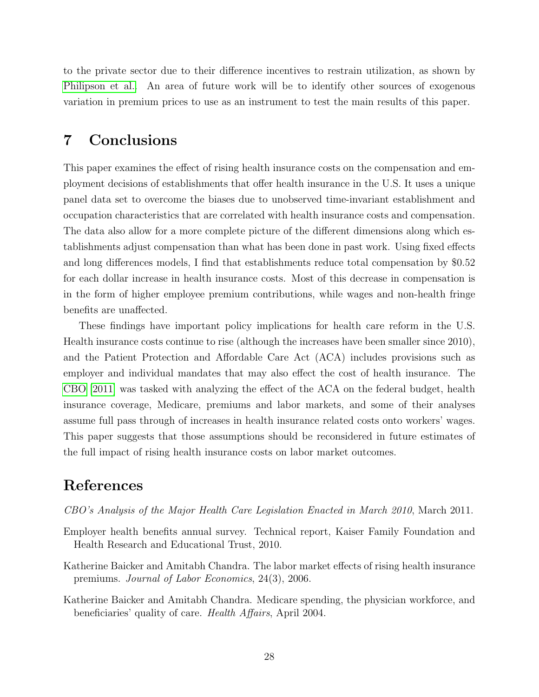to the private sector due to their difference incentives to restrain utilization, as shown by [Philipson et al..](#page-29-16) An area of future work will be to identify other sources of exogenous variation in premium prices to use as an instrument to test the main results of this paper.

### 7 Conclusions

This paper examines the effect of rising health insurance costs on the compensation and employment decisions of establishments that offer health insurance in the U.S. It uses a unique panel data set to overcome the biases due to unobserved time-invariant establishment and occupation characteristics that are correlated with health insurance costs and compensation. The data also allow for a more complete picture of the different dimensions along which establishments adjust compensation than what has been done in past work. Using fixed effects and long differences models, I find that establishments reduce total compensation by \$0.52 for each dollar increase in health insurance costs. Most of this decrease in compensation is in the form of higher employee premium contributions, while wages and non-health fringe benefits are unaffected.

These findings have important policy implications for health care reform in the U.S. Health insurance costs continue to rise (although the increases have been smaller since 2010), and the Patient Protection and Affordable Care Act (ACA) includes provisions such as employer and individual mandates that may also effect the cost of health insurance. The [CBO](#page-27-3) [\[2011\]](#page-27-3) was tasked with analyzing the effect of the ACA on the federal budget, health insurance coverage, Medicare, premiums and labor markets, and some of their analyses assume full pass through of increases in health insurance related costs onto workers' wages. This paper suggests that those assumptions should be reconsidered in future estimates of the full impact of rising health insurance costs on labor market outcomes.

### References

- <span id="page-27-3"></span>CBO's Analysis of the Major Health Care Legislation Enacted in March 2010, March 2011.
- <span id="page-27-0"></span>Employer health benefits annual survey. Technical report, Kaiser Family Foundation and Health Research and Educational Trust, 2010.
- <span id="page-27-1"></span>Katherine Baicker and Amitabh Chandra. The labor market effects of rising health insurance premiums. Journal of Labor Economics, 24(3), 2006.
- <span id="page-27-2"></span>Katherine Baicker and Amitabh Chandra. Medicare spending, the physician workforce, and beneficiaries' quality of care. Health Affairs, April 2004.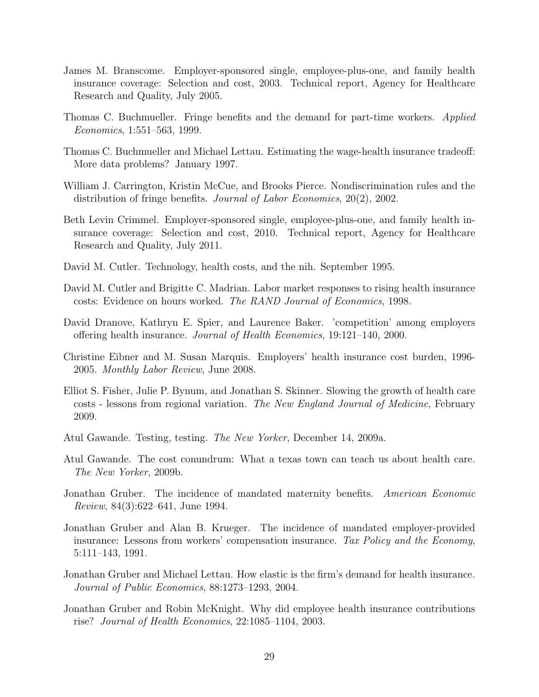- <span id="page-28-10"></span>James M. Branscome. Employer-sponsored single, employee-plus-one, and family health insurance coverage: Selection and cost, 2003. Technical report, Agency for Healthcare Research and Quality, July 2005.
- <span id="page-28-8"></span>Thomas C. Buchmueller. Fringe benefits and the demand for part-time workers. Applied Economics, 1:551–563, 1999.
- <span id="page-28-3"></span>Thomas C. Buchmueller and Michael Lettau. Estimating the wage-health insurance tradeoff: More data problems? January 1997.
- <span id="page-28-7"></span>William J. Carrington, Kristin McCue, and Brooks Pierce. Nondiscrimination rules and the distribution of fringe benefits. Journal of Labor Economics, 20(2), 2002.
- <span id="page-28-11"></span>Beth Levin Crimmel. Employer-sponsored single, employee-plus-one, and family health insurance coverage: Selection and cost, 2010. Technical report, Agency for Healthcare Research and Quality, July 2011.
- <span id="page-28-13"></span>David M. Cutler. Technology, health costs, and the nih. September 1995.
- <span id="page-28-1"></span>David M. Cutler and Brigitte C. Madrian. Labor market responses to rising health insurance costs: Evidence on hours worked. The RAND Journal of Economics, 1998.
- <span id="page-28-2"></span>David Dranove, Kathryn E. Spier, and Laurence Baker. 'competition' among employers offering health insurance. Journal of Health Economics, 19:121–140, 2000.
- <span id="page-28-5"></span>Christine Eibner and M. Susan Marquis. Employers' health insurance cost burden, 1996- 2005. Monthly Labor Review, June 2008.
- <span id="page-28-12"></span>Elliot S. Fisher, Julie P. Bynum, and Jonathan S. Skinner. Slowing the growth of health care costs - lessons from regional variation. The New England Journal of Medicine, February 2009.
- <span id="page-28-14"></span>Atul Gawande. Testing, testing. The New Yorker, December 14, 2009a.
- <span id="page-28-15"></span>Atul Gawande. The cost conundrum: What a texas town can teach us about health care. The New Yorker, 2009b.
- <span id="page-28-0"></span>Jonathan Gruber. The incidence of mandated maternity benefits. American Economic Review, 84(3):622–641, June 1994.
- <span id="page-28-9"></span>Jonathan Gruber and Alan B. Krueger. The incidence of mandated employer-provided insurance: Lessons from workers' compensation insurance. Tax Policy and the Economy, 5:111–143, 1991.
- <span id="page-28-4"></span>Jonathan Gruber and Michael Lettau. How elastic is the firm's demand for health insurance. Journal of Public Economics, 88:1273–1293, 2004.
- <span id="page-28-6"></span>Jonathan Gruber and Robin McKnight. Why did employee health insurance contributions rise? Journal of Health Economics, 22:1085–1104, 2003.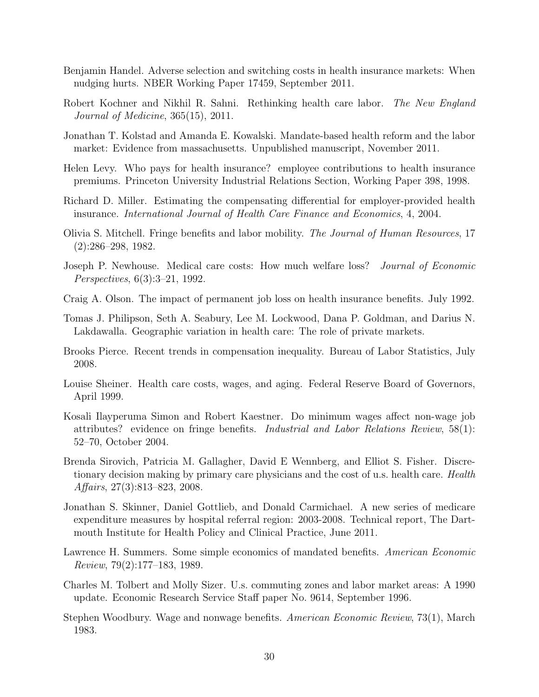- <span id="page-29-12"></span>Benjamin Handel. Adverse selection and switching costs in health insurance markets: When nudging hurts. NBER Working Paper 17459, September 2011.
- <span id="page-29-14"></span>Robert Kochner and Nikhil R. Sahni. Rethinking health care labor. The New England Journal of Medicine, 365(15), 2011.
- <span id="page-29-1"></span>Jonathan T. Kolstad and Amanda E. Kowalski. Mandate-based health reform and the labor market: Evidence from massachusetts. Unpublished manuscript, November 2011.
- <span id="page-29-0"></span>Helen Levy. Who pays for health insurance? employee contributions to health insurance premiums. Princeton University Industrial Relations Section, Working Paper 398, 1998.
- <span id="page-29-2"></span>Richard D. Miller. Estimating the compensating differential for employer-provided health insurance. International Journal of Health Care Finance and Economics, 4, 2004.
- <span id="page-29-7"></span>Olivia S. Mitchell. Fringe benefits and labor mobility. The Journal of Human Resources, 17 (2):286–298, 1982.
- <span id="page-29-10"></span>Joseph P. Newhouse. Medical care costs: How much welfare loss? Journal of Economic Perspectives, 6(3):3–21, 1992.
- <span id="page-29-3"></span>Craig A. Olson. The impact of permanent job loss on health insurance benefits. July 1992.
- <span id="page-29-16"></span>Tomas J. Philipson, Seth A. Seabury, Lee M. Lockwood, Dana P. Goldman, and Darius N. Lakdawalla. Geographic variation in health care: The role of private markets.
- <span id="page-29-4"></span>Brooks Pierce. Recent trends in compensation inequality. Bureau of Labor Statistics, July 2008.
- <span id="page-29-13"></span>Louise Sheiner. Health care costs, wages, and aging. Federal Reserve Board of Governors, April 1999.
- <span id="page-29-5"></span>Kosali Ilayperuma Simon and Robert Kaestner. Do minimum wages affect non-wage job attributes? evidence on fringe benefits. Industrial and Labor Relations Review, 58(1): 52–70, October 2004.
- <span id="page-29-11"></span>Brenda Sirovich, Patricia M. Gallagher, David E Wennberg, and Elliot S. Fisher. Discretionary decision making by primary care physicians and the cost of u.s. health care. *Health* Affairs, 27(3):813–823, 2008.
- <span id="page-29-15"></span>Jonathan S. Skinner, Daniel Gottlieb, and Donald Carmichael. A new series of medicare expenditure measures by hospital referral region: 2003-2008. Technical report, The Dartmouth Institute for Health Policy and Clinical Practice, June 2011.
- <span id="page-29-8"></span>Lawrence H. Summers. Some simple economics of mandated benefits. American Economic Review, 79(2):177–183, 1989.
- <span id="page-29-9"></span>Charles M. Tolbert and Molly Sizer. U.s. commuting zones and labor market areas: A 1990 update. Economic Research Service Staff paper No. 9614, September 1996.
- <span id="page-29-6"></span>Stephen Woodbury. Wage and nonwage benefits. American Economic Review, 73(1), March 1983.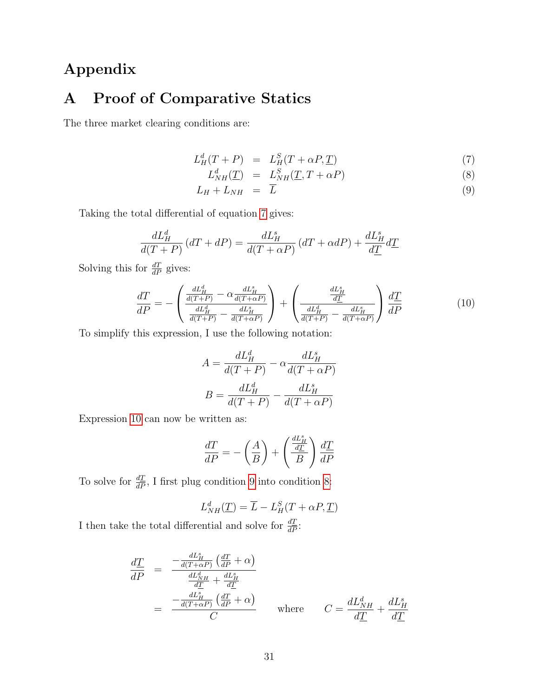# Appendix

# A Proof of Comparative Statics

The three market clearing conditions are:

$$
L_H^d(T+P) = L_H^S(T+\alpha P, \underline{T}) \tag{7}
$$

<span id="page-30-0"></span>
$$
L_{NH}^d(\underline{T}) = L_{NH}^S(\underline{T}, T + \alpha P) \tag{8}
$$

$$
L_H + L_{NH} = \overline{L} \tag{9}
$$

Taking the total differential of equation [7](#page-30-0) gives:

$$
\frac{dL_H^d}{d(T+P)}\left(dT+dP\right) = \frac{dL_H^s}{d(T+\alpha P)}\left(dT+\alpha dP\right) + \frac{dL_H^s}{d\underline{T}}d\underline{T}
$$

Solving this for  $\frac{dT}{dP}$  gives:

<span id="page-30-1"></span>
$$
\frac{dT}{dP} = -\left(\frac{\frac{dL_H^d}{d(T+P)} - \alpha \frac{dL_H^s}{d(T+\alpha P)}}{\frac{dL_H^d}{d(T+P)} - \frac{dL_H^s}{d(T+\alpha P)}}\right) + \left(\frac{\frac{dL_H^s}{dT}}{\frac{dL_H^d}{d(T+P)} - \frac{dL_H^s}{d(T+\alpha P)}}\right)\frac{d\underline{T}}{d\overline{P}}\tag{10}
$$

To simplify this expression, I use the following notation:

$$
A = \frac{dL_H^d}{d(T+P)} - \alpha \frac{dL_H^s}{d(T+\alpha P)}
$$

$$
B = \frac{dL_H^d}{d(T+P)} - \frac{dL_H^s}{d(T+\alpha P)}
$$

Expression [10](#page-30-1) can now be written as:

$$
\frac{dT}{dP} = -\left(\frac{A}{B}\right) + \left(\frac{\frac{dL_H^s}{dT}}{B}\right)\frac{d\underline{T}}{dP}
$$

To solve for  $\frac{dT}{dP}$ , I first plug condition [9](#page-30-0) into condition [8:](#page-30-0)

$$
L_{NH}^d(\underline{T}) = \overline{L} - L_H^S(T + \alpha P, \underline{T})
$$

I then take the total differential and solve for  $\frac{dT}{dP}$ :

$$
\frac{d\underline{T}}{dP} = \frac{-\frac{dL_H^s}{d(T+\alpha P)}\left(\frac{dT}{dP} + \alpha\right)}{\frac{dL_H^d}{dT} + \frac{dL_H^s}{dT}}
$$
\n
$$
= \frac{-\frac{dL_H^s}{d(T+\alpha P)}\left(\frac{dT}{dP} + \alpha\right)}{C} \quad \text{where} \quad C = \frac{dL_{NH}^d}{d\underline{T}} + \frac{dL_H^s}{d\underline{T}}
$$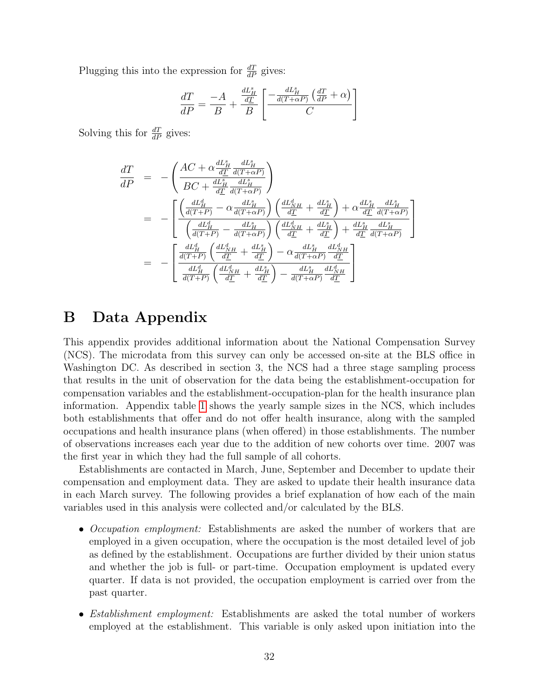Plugging this into the expression for  $\frac{dT}{dP}$  gives:

$$
\frac{dT}{dP} = \frac{-A}{B} + \frac{\frac{dL_H^s}{d\underline{T}}}{B} \left[ \frac{-\frac{dL_H^s}{d(T+\alpha P)} \left( \frac{dT}{dP} + \alpha \right)}{C} \right]
$$

Solving this for  $\frac{dT}{dP}$  gives:

$$
\frac{dT}{dP} = -\left(\frac{AC + \alpha \frac{dL_H^s}{d\underline{T}} \frac{dL_H^s}{d(T+\alpha P)}}{BC + \frac{dL_H^s}{d\underline{T}} \frac{dL_H^s}{d(T+\alpha P)}}\right)
$$
\n
$$
= -\left[\frac{\left(\frac{dL_H^d}{d(T+P)} - \alpha \frac{dL_H^s}{d(T+\alpha P)}\right) \left(\frac{dL_M^d}{d\underline{T}} + \frac{dL_H^s}{d\underline{T}}\right) + \alpha \frac{dL_H^s}{d\underline{T}} \frac{dL_H^s}{d(T+\alpha P)}\right]}{\left(\frac{dL_H^d}{d(T+P)} - \frac{dL_H^s}{d(T+\alpha P)}\right) \left(\frac{dL_{NH}^d}{d\underline{T}} + \frac{dL_H^s}{d\underline{T}}\right) + \frac{dL_H^s}{d\underline{T}} \frac{dL_H^s}{d(T+\alpha P)}\right]}
$$
\n
$$
= -\left[\frac{\frac{dL_H^d}{d(T+P)} \left(\frac{dL_{NH}^d}{d\underline{T}} + \frac{dL_H^s}{d\underline{T}}\right) - \alpha \frac{dL_H^s}{d(T+\alpha P)} \frac{dL_{NH}^d}{d\underline{T}}}{\frac{dL_H^d}{d(T+P)} \left(\frac{dL_{NH}^d}{d\underline{T}} + \frac{dL_H^s}{d\underline{T}}\right) - \frac{dL_H^s}{d(T+\alpha P)} \frac{dL_{NH}^d}{d\underline{T}}}\right]
$$

## B Data Appendix

This appendix provides additional information about the National Compensation Survey (NCS). The microdata from this survey can only be accessed on-site at the BLS office in Washington DC. As described in section 3, the NCS had a three stage sampling process that results in the unit of observation for the data being the establishment-occupation for compensation variables and the establishment-occupation-plan for the health insurance plan information. Appendix table [1](#page-32-0) shows the yearly sample sizes in the NCS, which includes both establishments that offer and do not offer health insurance, along with the sampled occupations and health insurance plans (when offered) in those establishments. The number of observations increases each year due to the addition of new cohorts over time. 2007 was the first year in which they had the full sample of all cohorts.

Establishments are contacted in March, June, September and December to update their compensation and employment data. They are asked to update their health insurance data in each March survey. The following provides a brief explanation of how each of the main variables used in this analysis were collected and/or calculated by the BLS.

- Occupation employment: Establishments are asked the number of workers that are employed in a given occupation, where the occupation is the most detailed level of job as defined by the establishment. Occupations are further divided by their union status and whether the job is full- or part-time. Occupation employment is updated every quarter. If data is not provided, the occupation employment is carried over from the past quarter.
- Establishment employment: Establishments are asked the total number of workers employed at the establishment. This variable is only asked upon initiation into the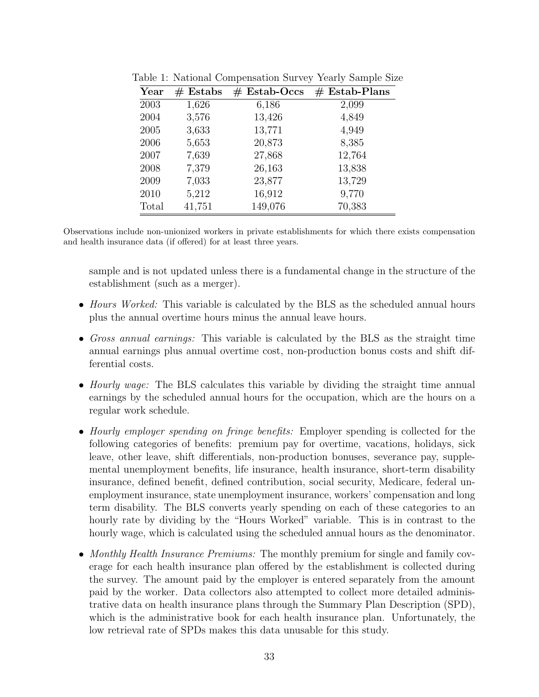<span id="page-32-0"></span>

| Year  | $#$ Estabs | $#$ Estab-Occs | $#$ Estab-Plans |
|-------|------------|----------------|-----------------|
| 2003  | 1,626      | 6,186          | 2,099           |
| 2004  | 3,576      | 13,426         | 4,849           |
| 2005  | 3,633      | 13,771         | 4,949           |
| 2006  | 5,653      | 20,873         | 8,385           |
| 2007  | 7,639      | 27,868         | 12,764          |
| 2008  | 7,379      | 26,163         | 13,838          |
| 2009  | 7,033      | 23,877         | 13,729          |
| 2010  | 5,212      | 16,912         | 9,770           |
| Total | 41,751     | 149,076        | 70,383          |

Table 1: National Compensation Survey Yearly Sample Size

Observations include non-unionized workers in private establishments for which there exists compensation and health insurance data (if offered) for at least three years.

sample and is not updated unless there is a fundamental change in the structure of the establishment (such as a merger).

- *Hours Worked:* This variable is calculated by the BLS as the scheduled annual hours plus the annual overtime hours minus the annual leave hours.
- Gross annual earnings: This variable is calculated by the BLS as the straight time annual earnings plus annual overtime cost, non-production bonus costs and shift differential costs.
- *Hourly wage:* The BLS calculates this variable by dividing the straight time annual earnings by the scheduled annual hours for the occupation, which are the hours on a regular work schedule.
- Hourly employer spending on fringe benefits: Employer spending is collected for the following categories of benefits: premium pay for overtime, vacations, holidays, sick leave, other leave, shift differentials, non-production bonuses, severance pay, supplemental unemployment benefits, life insurance, health insurance, short-term disability insurance, defined benefit, defined contribution, social security, Medicare, federal unemployment insurance, state unemployment insurance, workers' compensation and long term disability. The BLS converts yearly spending on each of these categories to an hourly rate by dividing by the "Hours Worked" variable. This is in contrast to the hourly wage, which is calculated using the scheduled annual hours as the denominator.
- Monthly Health Insurance Premiums: The monthly premium for single and family coverage for each health insurance plan offered by the establishment is collected during the survey. The amount paid by the employer is entered separately from the amount paid by the worker. Data collectors also attempted to collect more detailed administrative data on health insurance plans through the Summary Plan Description (SPD), which is the administrative book for each health insurance plan. Unfortunately, the low retrieval rate of SPDs makes this data unusable for this study.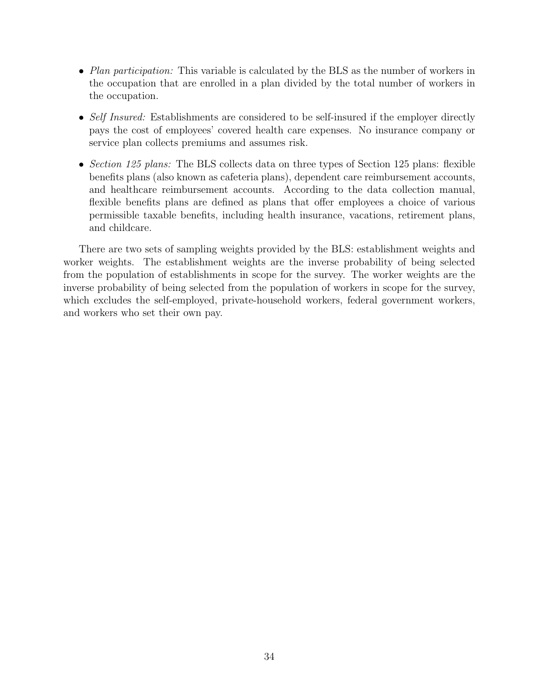- Plan participation: This variable is calculated by the BLS as the number of workers in the occupation that are enrolled in a plan divided by the total number of workers in the occupation.
- Self Insured: Establishments are considered to be self-insured if the employer directly pays the cost of employees' covered health care expenses. No insurance company or service plan collects premiums and assumes risk.
- Section 125 plans: The BLS collects data on three types of Section 125 plans: flexible benefits plans (also known as cafeteria plans), dependent care reimbursement accounts, and healthcare reimbursement accounts. According to the data collection manual, flexible benefits plans are defined as plans that offer employees a choice of various permissible taxable benefits, including health insurance, vacations, retirement plans, and childcare.

There are two sets of sampling weights provided by the BLS: establishment weights and worker weights. The establishment weights are the inverse probability of being selected from the population of establishments in scope for the survey. The worker weights are the inverse probability of being selected from the population of workers in scope for the survey, which excludes the self-employed, private-household workers, federal government workers, and workers who set their own pay.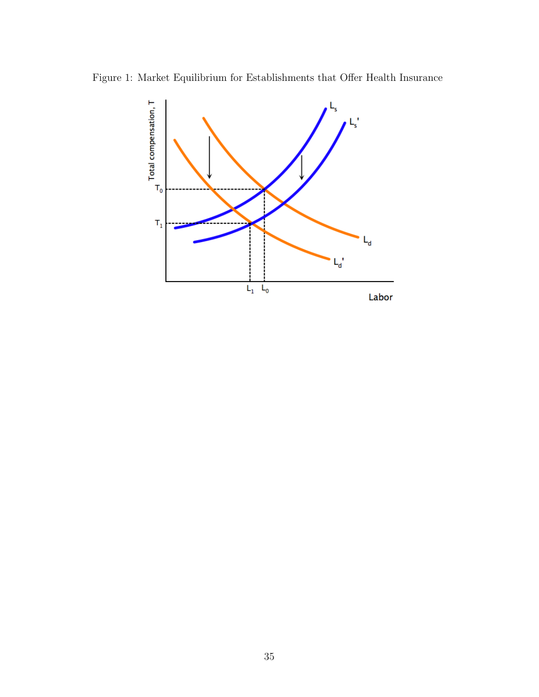Figure 1: Market Equilibrium for Establishments that Offer Health Insurance

<span id="page-34-0"></span>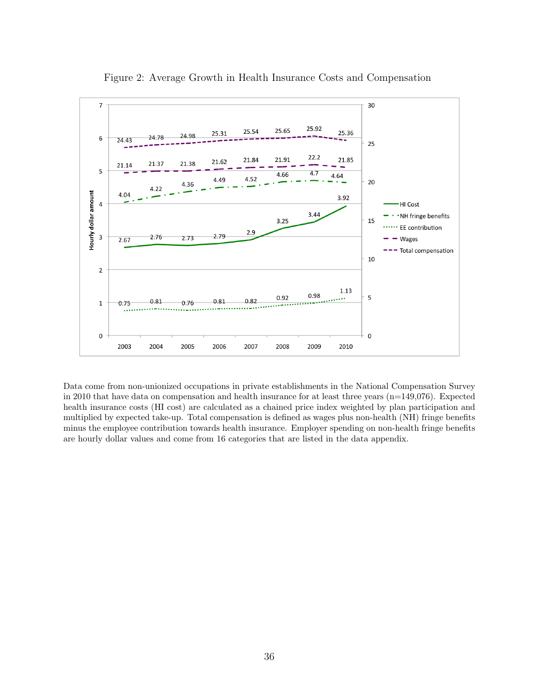

<span id="page-35-0"></span>Figure 2: Average Growth in Health Insurance Costs and Compensation

Data come from non-unionized occupations in private establishments in the National Compensation Survey in 2010 that have data on compensation and health insurance for at least three years (n=149,076). Expected health insurance costs (HI cost) are calculated as a chained price index weighted by plan participation and multiplied by expected take-up. Total compensation is defined as wages plus non-health (NH) fringe benefits minus the employee contribution towards health insurance. Employer spending on non-health fringe benefits are hourly dollar values and come from 16 categories that are listed in the data appendix.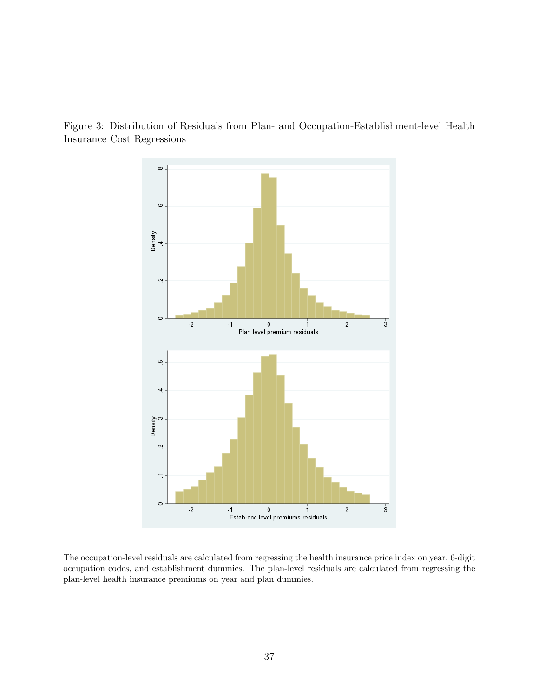<span id="page-36-0"></span>

Figure 3: Distribution of Residuals from Plan- and Occupation-Establishment-level Health Insurance Cost Regressions

The occupation-level residuals are calculated from regressing the health insurance price index on year, 6-digit occupation codes, and establishment dummies. The plan-level residuals are calculated from regressing the plan-level health insurance premiums on year and plan dummies.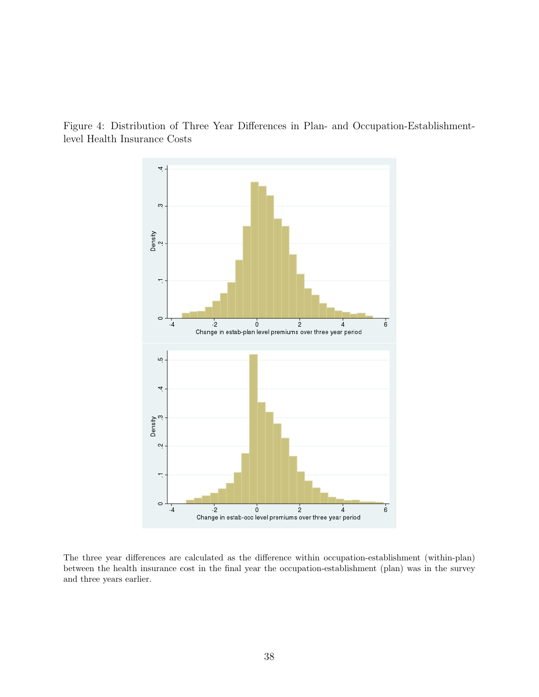<span id="page-37-0"></span>

Figure 4: Distribution of Three Year Differences in Plan- and Occupation-Establishmentlevel Health Insurance Costs

The three year differences are calculated as the difference within occupation-establishment (within-plan) between the health insurance cost in the final year the occupation-establishment (plan) was in the survey and three years earlier.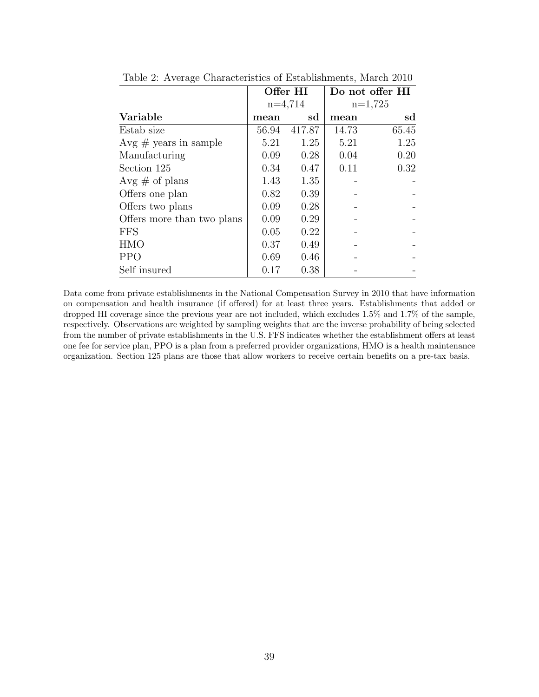|                            |       | Offer HI  | Do not offer HI<br>$n=1,725$ |       |
|----------------------------|-------|-----------|------------------------------|-------|
|                            |       | $n=4,714$ |                              |       |
| Variable                   | mean  | sd        | mean                         | sd    |
| Estab size                 | 56.94 | 417.87    | 14.73                        | 65.45 |
| $Avg \# years$ in sample   | 5.21  | 1.25      | 5.21                         | 1.25  |
| Manufacturing              | 0.09  | 0.28      | 0.04                         | 0.20  |
| Section 125                | 0.34  | 0.47      | 0.11                         | 0.32  |
| Avg $\#$ of plans          | 1.43  | 1.35      |                              |       |
| Offers one plan            | 0.82  | 0.39      |                              |       |
| Offers two plans           | 0.09  | 0.28      |                              |       |
| Offers more than two plans | 0.09  | 0.29      |                              |       |
| <b>FFS</b>                 | 0.05  | 0.22      |                              |       |
| <b>HMO</b>                 | 0.37  | 0.49      |                              |       |
| <b>PPO</b>                 | 0.69  | 0.46      |                              |       |
| Self insured               | 0.17  | 0.38      |                              |       |

<span id="page-38-0"></span>Table 2: Average Characteristics of Establishments, March 2010

Data come from private establishments in the National Compensation Survey in 2010 that have information on compensation and health insurance (if offered) for at least three years. Establishments that added or dropped HI coverage since the previous year are not included, which excludes 1.5% and 1.7% of the sample, respectively. Observations are weighted by sampling weights that are the inverse probability of being selected from the number of private establishments in the U.S. FFS indicates whether the establishment offers at least one fee for service plan, PPO is a plan from a preferred provider organizations, HMO is a health maintenance organization. Section 125 plans are those that allow workers to receive certain benefits on a pre-tax basis.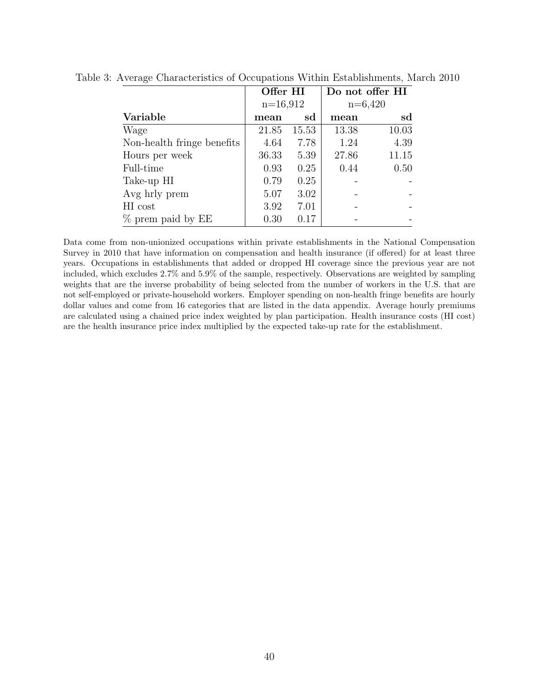<span id="page-39-0"></span>

|                            | Offer HI   |       | Do not offer HI |       |
|----------------------------|------------|-------|-----------------|-------|
|                            | $n=16,912$ |       | $n=6,420$       |       |
| Variable                   | mean       | sd    | mean            | sd    |
| Wage                       | 21.85      | 15.53 | 13.38           | 10.03 |
| Non-health fringe benefits | 4.64       | 7.78  | 1.24            | 4.39  |
| Hours per week             | 36.33      | 5.39  | 27.86           | 11.15 |
| Full-time                  | 0.93       | 0.25  | 0.44            | 0.50  |
| Take-up HI                 | 0.79       | 0.25  |                 |       |
| Avg hrly prem              | 5.07       | 3.02  |                 |       |
| HI cost                    | 3.92       | 7.01  |                 |       |
| % prem paid by EE          | 0.30       | 0.17  |                 |       |

Table 3: Average Characteristics of Occupations Within Establishments, March 2010

Data come from non-unionized occupations within private establishments in the National Compensation Survey in 2010 that have information on compensation and health insurance (if offered) for at least three years. Occupations in establishments that added or dropped HI coverage since the previous year are not included, which excludes 2.7% and 5.9% of the sample, respectively. Observations are weighted by sampling weights that are the inverse probability of being selected from the number of workers in the U.S. that are not self-employed or private-household workers. Employer spending on non-health fringe benefits are hourly dollar values and come from 16 categories that are listed in the data appendix. Average hourly premiums are calculated using a chained price index weighted by plan participation. Health insurance costs (HI cost) are the health insurance price index multiplied by the expected take-up rate for the establishment.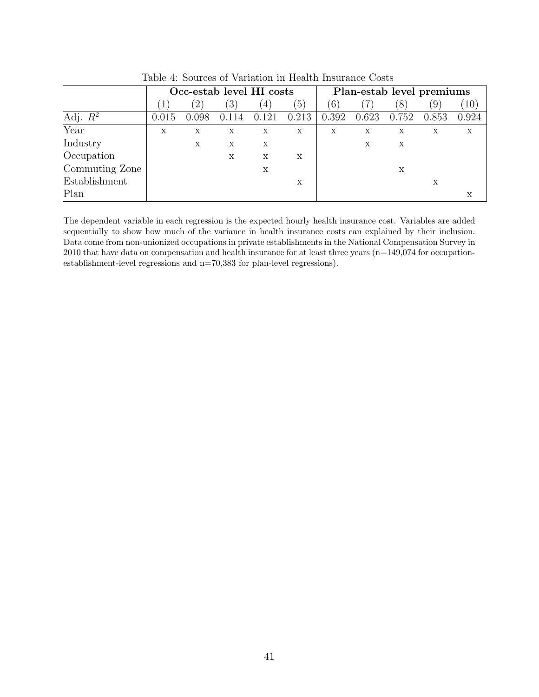| rapio il podroce di Tariadioni in ricanti niparanto Copae |                          |               |                  |                  |                           |       |                           |                           |                   |       |
|-----------------------------------------------------------|--------------------------|---------------|------------------|------------------|---------------------------|-------|---------------------------|---------------------------|-------------------|-------|
|                                                           | Occ-estab level HI costs |               |                  |                  | Plan-estab level premiums |       |                           |                           |                   |       |
|                                                           |                          | $^{\prime}2)$ | $\left(3\right)$ | $\left(4\right)$ | (5)                       | (6)   |                           | (8)                       | $\left( 9\right)$ | 10)   |
| Adj. $R^2$                                                | 0.015                    | 0.098         | 0.114            | 0.121            | 0.213                     | 0.392 | 0.623                     | 0.752                     | 0.853             | 0.924 |
| Year                                                      | X                        | X             | X                | X                | X                         | X     | $\boldsymbol{\mathrm{X}}$ | $\mathbf x$               | $\mathbf x$       | X     |
| Industry                                                  |                          | X             | X                | X                |                           |       | $\mathbf x$               | $\boldsymbol{\mathrm{X}}$ |                   |       |
| Occupation                                                |                          |               | X                | X                | X                         |       |                           |                           |                   |       |
| Commuting Zone                                            |                          |               |                  | X                |                           |       |                           | Х                         |                   |       |
| Establishment                                             |                          |               |                  |                  | X                         |       |                           |                           | X                 |       |
| Plan                                                      |                          |               |                  |                  |                           |       |                           |                           |                   | X     |

<span id="page-40-0"></span>Table 4: Sources of Variation in Health Insurance Costs

The dependent variable in each regression is the expected hourly health insurance cost. Variables are added sequentially to show how much of the variance in health insurance costs can explained by their inclusion. Data come from non-unionized occupations in private establishments in the National Compensation Survey in 2010 that have data on compensation and health insurance for at least three years  $(n=149,074$  for occupationestablishment-level regressions and n=70,383 for plan-level regressions).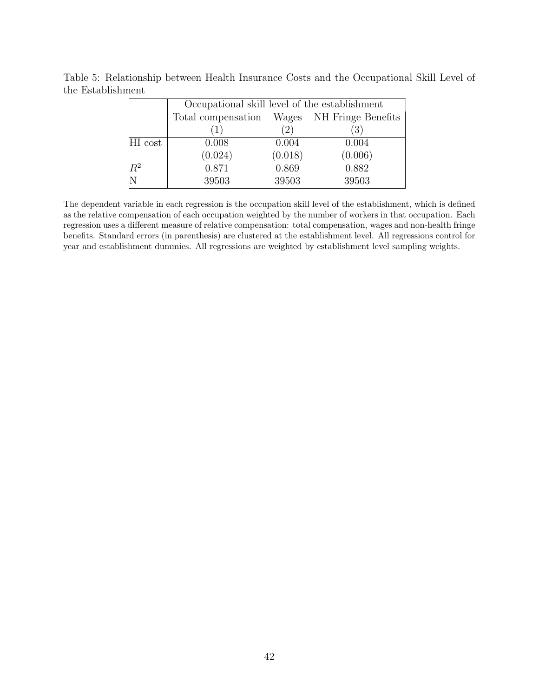<span id="page-41-0"></span>

|         | Occupational skill level of the establishment |         |         |  |  |  |  |  |
|---------|-----------------------------------------------|---------|---------|--|--|--|--|--|
|         | Total compensation Wages NH Fringe Benefits   |         |         |  |  |  |  |  |
|         | (1)                                           | (2)     | (3)     |  |  |  |  |  |
| HI cost | 0.008                                         | 0.004   | 0.004   |  |  |  |  |  |
|         | (0.024)                                       | (0.018) | (0.006) |  |  |  |  |  |
| $R^2$   | 0.871                                         | 0.869   | 0.882   |  |  |  |  |  |
| N       | 39503                                         | 39503   | 39503   |  |  |  |  |  |

Table 5: Relationship between Health Insurance Costs and the Occupational Skill Level of the Establishment

The dependent variable in each regression is the occupation skill level of the establishment, which is defined as the relative compensation of each occupation weighted by the number of workers in that occupation. Each regression uses a different measure of relative compensation: total compensation, wages and non-health fringe benefits. Standard errors (in parenthesis) are clustered at the establishment level. All regressions control for year and establishment dummies. All regressions are weighted by establishment level sampling weights.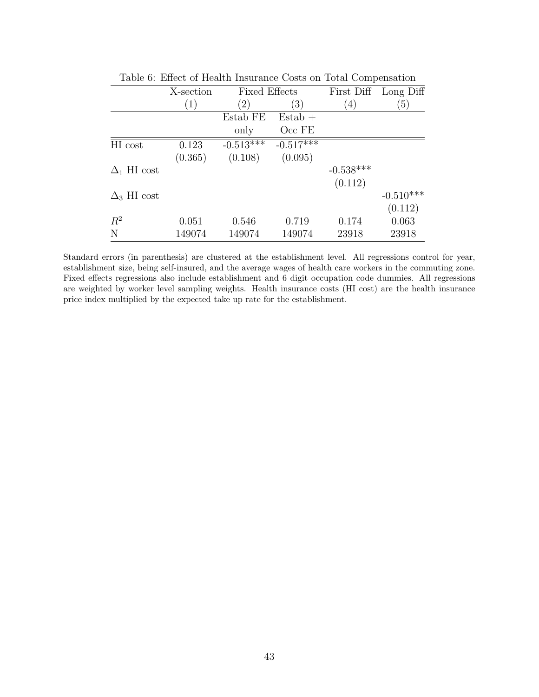|                    | X-section | <b>Fixed Effects</b> |             |                  | First Diff Long Diff |
|--------------------|-----------|----------------------|-------------|------------------|----------------------|
|                    | (1)       | $\left(2\right)$     | (3)         | $\left(4\right)$ | $\left(5\right)$     |
|                    |           | Estab FE             | $Estab +$   |                  |                      |
|                    |           | only                 | Occ FE      |                  |                      |
| HI cost            | 0.123     | $-0.513***$          | $-0.517***$ |                  |                      |
|                    | (0.365)   | (0.108)              | (0.095)     |                  |                      |
| $\Delta_1$ HI cost |           |                      |             | $-0.538***$      |                      |
|                    |           |                      |             | (0.112)          |                      |
| $\Delta_3$ HI cost |           |                      |             |                  | $-0.510***$          |
|                    |           |                      |             |                  | (0.112)              |
| $R^2$              | 0.051     | 0.546                | 0.719       | 0.174            | 0.063                |
| $\mathbf N$        | 149074    | 149074               | 149074      | 23918            | 23918                |

<span id="page-42-0"></span>Table 6: Effect of Health Insurance Costs on Total Compensation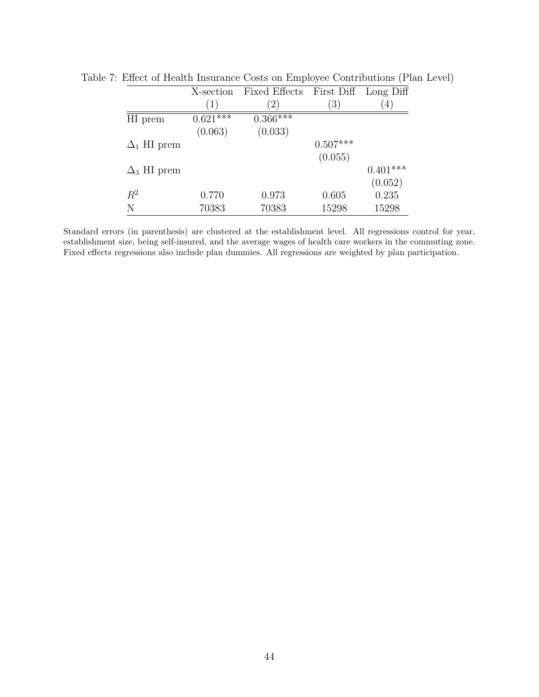<span id="page-43-0"></span>

|                    | X-section             | Fixed Effects |                  | First Diff Long Diff |
|--------------------|-----------------------|---------------|------------------|----------------------|
|                    | (1)                   | 2)            | $\left(3\right)$ | 4                    |
| HI prem            | $0.62\overline{1***}$ | $0.366***$    |                  |                      |
|                    | (0.063)               | (0.033)       |                  |                      |
| $\Delta_1$ HI prem |                       |               | $0.507***$       |                      |
|                    |                       |               | (0.055)          |                      |
| $\Delta_3$ HI prem |                       |               |                  | $0.401***$           |
|                    |                       |               |                  | (0.052)              |
| $R^2$              | 0.770                 | 0.973         | 0.605            | 0.235                |
| N                  | 70383                 | 70383         | 15298            | 15298                |

Table 7: Effect of Health Insurance Costs on Employee Contributions (Plan Level)

Standard errors (in parenthesis) are clustered at the establishment level. All regressions control for year, establishment size, being self-insured, and the average wages of health care workers in the commuting zone. Fixed effects regressions also include plan dummies. All regressions are weighted by plan participation.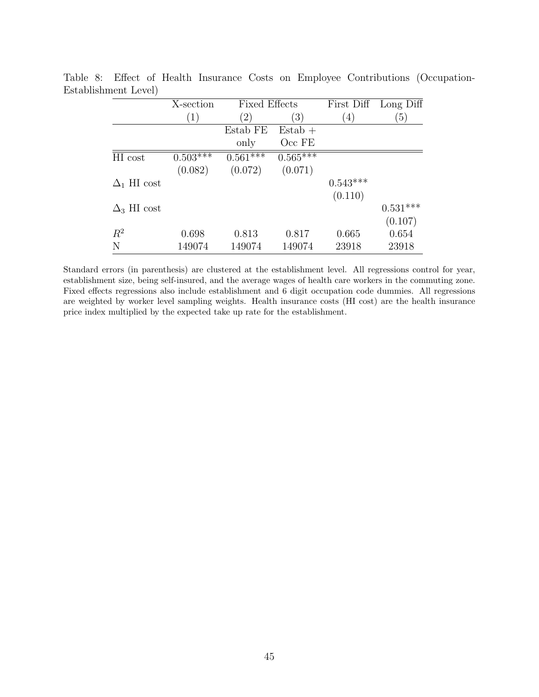<span id="page-44-0"></span>

|                    | X-section  | <b>Fixed Effects</b> |            |                   | First Diff Long Diff |
|--------------------|------------|----------------------|------------|-------------------|----------------------|
|                    | (1)        | $\left( 2\right)$    | (3)        | $\left( 4\right)$ | $\left(5\right)$     |
|                    |            | Estab FE             | $Estab +$  |                   |                      |
|                    |            | only                 | Occ FE     |                   |                      |
| HI cost            | $0.503***$ | $0.561***$           | $0.565***$ |                   |                      |
|                    | (0.082)    | (0.072)              | (0.071)    |                   |                      |
| $\Delta_1$ HI cost |            |                      |            | $0.543***$        |                      |
|                    |            |                      |            | (0.110)           |                      |
| $\Delta_3$ HI cost |            |                      |            |                   | $0.531***$           |
|                    |            |                      |            |                   | (0.107)              |
| $R^2$              | 0.698      | 0.813                | 0.817      | 0.665             | 0.654                |
| N                  | 149074     | 149074               | 149074     | 23918             | 23918                |

Table 8: Effect of Health Insurance Costs on Employee Contributions (Occupation-Establishment Level)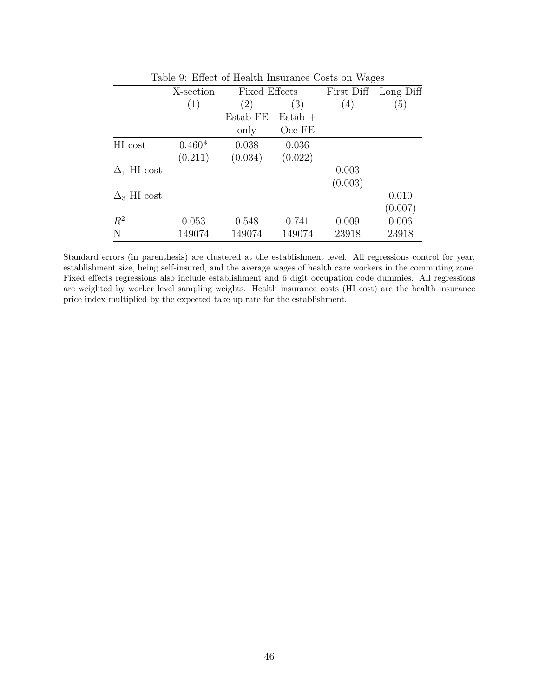|                    | X-section | <b>Fixed Effects</b> |           |                   | First Diff Long Diff |
|--------------------|-----------|----------------------|-----------|-------------------|----------------------|
|                    | (1)       | $\left( 2\right)$    | (3)       | $\left( 4\right)$ | (5)                  |
|                    |           | Estab FE             | $Estab +$ |                   |                      |
|                    |           | only                 | Occ FE    |                   |                      |
| HI cost            | $0.460*$  | 0.038                | 0.036     |                   |                      |
|                    | (0.211)   | (0.034)              | (0.022)   |                   |                      |
| $\Delta_1$ HI cost |           |                      |           | 0.003             |                      |
|                    |           |                      |           | (0.003)           |                      |
| $\Delta_3$ HI cost |           |                      |           |                   | 0.010                |
|                    |           |                      |           |                   | (0.007)              |
| $R^2$              | 0.053     | 0.548                | 0.741     | 0.009             | 0.006                |
| N                  | 149074    | 149074               | 149074    | 23918             | 23918                |

<span id="page-45-0"></span>Table 9: Effect of Health Insurance Costs on Wages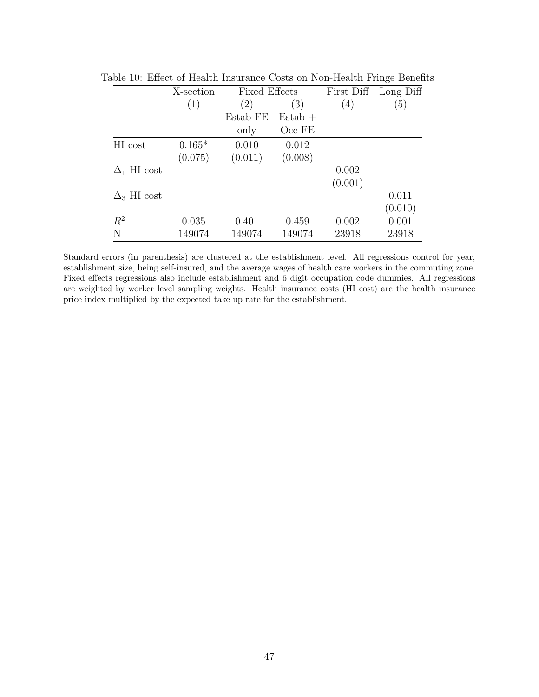<span id="page-46-0"></span>

|                    | X-section | <b>Fixed Effects</b> |           | First Diff | Long Diff |
|--------------------|-----------|----------------------|-----------|------------|-----------|
|                    | (1)       | $\left( 2\right)$    | (3)       | (4)        | (5)       |
|                    |           | Estab FE             | $Estab +$ |            |           |
|                    |           | only                 | Occ FE    |            |           |
| HI cost            | $0.165*$  | 0.010                | 0.012     |            |           |
|                    | (0.075)   | (0.011)              | (0.008)   |            |           |
| $\Delta_1$ HI cost |           |                      |           | 0.002      |           |
|                    |           |                      |           | (0.001)    |           |
| $\Delta_3$ HI cost |           |                      |           |            | 0.011     |
|                    |           |                      |           |            | (0.010)   |
| $R^2$              | 0.035     | 0.401                | 0.459     | 0.002      | 0.001     |
| N                  | 149074    | 149074               | 149074    | 23918      | 23918     |

Table 10: Effect of Health Insurance Costs on Non-Health Fringe Benefits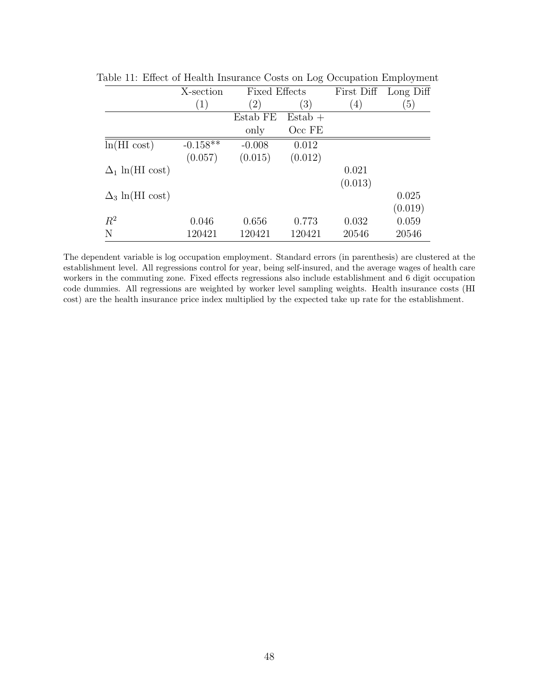<span id="page-47-0"></span>

|                        | X-section  | <b>Fixed Effects</b> |                   | First Diff        | Long Diff |
|------------------------|------------|----------------------|-------------------|-------------------|-----------|
|                        | (1)        | (2)                  | $\left( 3\right)$ | $\left( 4\right)$ | (5)       |
|                        |            | Estab FE             | $Estab +$         |                   |           |
|                        |            | only                 | $Occ$ FE          |                   |           |
| $ln(HI \text{ cost})$  | $-0.158**$ | $-0.008$             | 0.012             |                   |           |
|                        | (0.057)    | (0.015)              | (0.012)           |                   |           |
| $\Delta_1$ ln(HI cost) |            |                      |                   | 0.021             |           |
|                        |            |                      |                   | (0.013)           |           |
| $\Delta_3$ ln(HI cost) |            |                      |                   |                   | 0.025     |
|                        |            |                      |                   |                   | (0.019)   |
| $R^2$                  | 0.046      | 0.656                | 0.773             | 0.032             | 0.059     |
| N                      | 120421     | 120421               | 120421            | 20546             | 20546     |

Table 11: Effect of Health Insurance Costs on Log Occupation Employment